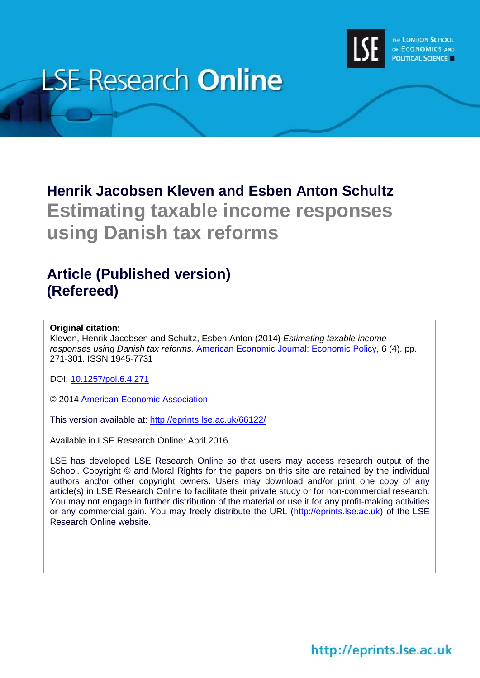

# **LSE Research Online**

## **Henrik Jacobsen Kleven and Esben Anton Schultz Estimating taxable income responses using Danish tax reforms**

### **Article (Published version) (Refereed)**

#### **Original citation:**

Kleven, Henrik Jacobsen and Schultz, Esben Anton (2014) *Estimating taxable income responses using Danish tax reforms.* [American Economic Journal: Economic Policy,](https://www.aeaweb.org/journals/pol) 6 (4). pp. 271-301. ISSN 1945-7731

DOI: [10.1257/pol.6.4.271](http://dx.doi.org/10.1257/pol.6.4.271)

© 2014 [American Economic Association](https://www.aeaweb.org/)

This version available at:<http://eprints.lse.ac.uk/66122/>

Available in LSE Research Online: April 2016

LSE has developed LSE Research Online so that users may access research output of the School. Copyright © and Moral Rights for the papers on this site are retained by the individual authors and/or other copyright owners. Users may download and/or print one copy of any article(s) in LSE Research Online to facilitate their private study or for non-commercial research. You may not engage in further distribution of the material or use it for any profit-making activities or any commercial gain. You may freely distribute the URL (http://eprints.lse.ac.uk) of the LSE Research Online website.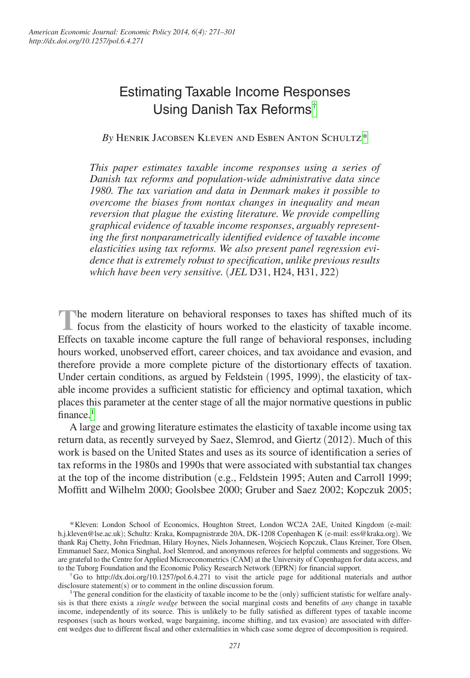### Estimating Taxable Income Responses Using Danish Tax Reforms[†](#page-1-0)

*By* Henrik Jacobsen Kleven and Esben Anton Schultz[\\*](#page-1-1)

*This paper estimates taxable income responses using a series of Danish tax reforms and population-wide administrative data since 1980. The tax variation and data in Denmark makes it possible to overcome the biases from nontax changes in inequality and mean reversion that plague the existing literature. We provide compelling graphical evidence of taxable income responses*, *arguably representing the first nonparametrically identified evidence of taxable income elasticities using tax reforms. We also present panel regression evidence that is extremely robust to specification*, *unlike previous results which have been very sensitive.* (*JEL* D31, H24, H31, J22)

**The modern literature on behavioral responses to taxes has shifted much of its A** focus from the elasticity of hours worked to the elasticity of taxable income. Effects on taxable income capture the full range of behavioral responses, including hours worked, unobserved effort, career choices, and tax avoidance and evasion, and therefore provide a more complete picture of the distortionary effects of taxation. Under certain conditions, as argued by Feldstein (1995, 1999), the elasticity of taxable income provides a sufficient statistic for efficiency and optimal taxation, which places this parameter at the center stage of all the major normative questions in public finance $1$ 

A large and growing literature estimates the elasticity of taxable income using tax return data, as recently surveyed by Saez, Slemrod, and Giertz (2012). Much of this work is based on the United States and uses as its source of identification a series of tax reforms in the 1980s and 1990s that were associated with substantial tax changes at the top of the income distribution (e.g., Feldstein 1995; Auten and Carroll 1999; Moffitt and Wilhelm 2000; Goolsbee 2000; Gruber and Saez 2002; Kopczuk 2005;

<span id="page-1-1"></span><sup>\*</sup>Kleven: London School of Economics, Houghton Street, London WC2A 2AE, United Kingdom (e-mail: [h.j.kleven@lse.ac.uk](mailto:h.j.kleven@lse.ac.uk)); Schultz: Kraka, Kompagnistræde 20A, DK-1208 Copenhagen K (e-mail: [ess@kraka.org](mailto:ess@kraka.org)). We thank Raj Chetty, John Friedman, Hilary Hoynes, Niels Johannesen, Wojciech Kopczuk, Claus Kreiner, Tore Olsen, Emmanuel Saez, Monica Singhal, Joel Slemrod, and anonymous referees for helpful comments and suggestions. We are grateful to the Centre for Applied Microeconometrics (CAM) at the University of Copenhagen for data access, and<br>to the Tuborg Foundation and the Economic Policy Research Network (EPRN) for financial support.

<span id="page-1-0"></span> $\hbar$ Go to [http://dx.doi.org/10.1257/po](http://dx.doi.org/10.1257/pol)[l.6.4.271](http://dx.doi.org/10.1257/pol.6.4.271) to visit the article page for additional materials and author disclosure statement(s) or to comment in the online discussion forum.

<span id="page-1-2"></span><sup>&</sup>lt;sup>1</sup>The general condition for the elasticity of taxable income to be the (only) sufficient statistic for welfare analysis is that there exists a *single wedge* between the social marginal costs and benefits of *any* change in taxable income, independently of its source. This is unlikely to be fully satisfied as different types of taxable income responses (such as hours worked, wage bargaining, income shifting, and tax evasion) are associated with different wedges due to different fiscal and other externalities in which case some degree of decomposition is required.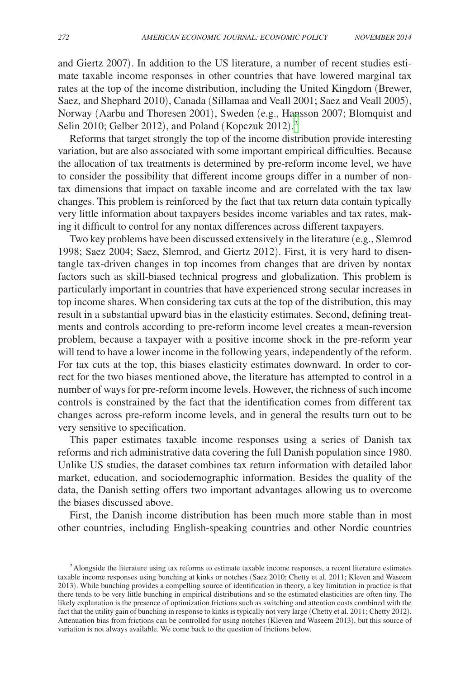and Giertz 2007). In addition to the US literature, a number of recent studies estimate taxable income responses in other countries that have lowered marginal tax rates at the top of the income distribution, including the United Kingdom (Brewer, Saez, and Shephard 2010), Canada (Sillamaa and Veall 2001; Saez and Veall 2005), Norway (Aarbu and Thoresen 2001), Sweden (e.g., Hansson 2007; Blomquist and Selin [2](#page-2-0)010; Gelber 2012), and Poland (Kopczuk 2012).<sup>2</sup>

Reforms that target strongly the top of the income distribution provide interesting variation, but are also associated with some important empirical difficulties. Because the allocation of tax treatments is determined by pre-reform income level, we have to consider the possibility that different income groups differ in a number of nontax dimensions that impact on taxable income and are correlated with the tax law changes. This problem is reinforced by the fact that tax return data contain typically very little information about taxpayers besides income variables and tax rates, making it difficult to control for any nontax differences across different taxpayers.

Two key problems have been discussed extensively in the literature (e.g., Slemrod 1998; Saez 2004; Saez, Slemrod, and Giertz 2012). First, it is very hard to disentangle tax-driven changes in top incomes from changes that are driven by nontax factors such as skill-biased technical progress and globalization. This problem is particularly important in countries that have experienced strong secular increases in top income shares. When considering tax cuts at the top of the distribution, this may result in a substantial upward bias in the elasticity estimates. Second, defining treatments and controls according to pre-reform income level creates a mean-reversion problem, because a taxpayer with a positive income shock in the pre-reform year will tend to have a lower income in the following years, independently of the reform. For tax cuts at the top, this biases elasticity estimates downward. In order to correct for the two biases mentioned above, the literature has attempted to control in a number of ways for pre-reform income levels. However, the richness of such income controls is constrained by the fact that the identification comes from different tax changes across pre-reform income levels, and in general the results turn out to be very sensitive to specification.

This paper estimates taxable income responses using a series of Danish tax reforms and rich administrative data covering the full Danish population since 1980. Unlike US studies, the dataset combines tax return information with detailed labor market, education, and sociodemographic information. Besides the quality of the data, the Danish setting offers two important advantages allowing us to overcome the biases discussed above.

First, the Danish income distribution has been much more stable than in most other countries, including English-speaking countries and other Nordic countries

<span id="page-2-0"></span><sup>&</sup>lt;sup>2</sup> Alongside the literature using tax reforms to estimate taxable income responses, a recent literature estimates taxable income responses using bunching at kinks or notches (Saez 2010; Chetty et al. 2011; Kleven and Waseem 2013). While bunching provides a compelling source of identification in theory, a key limitation in practice is that there tends to be very little bunching in empirical distributions and so the estimated elasticities are often tiny. The likely explanation is the presence of optimization frictions such as switching and attention costs combined with the fact that the utility gain of bunching in response to kinks is typically not very large (Chetty et al. 2011; Chetty 2012). Attenuation bias from frictions can be controlled for using notches (Kleven and Waseem 2013), but this source of variation is not always available. We come back to the question of frictions below.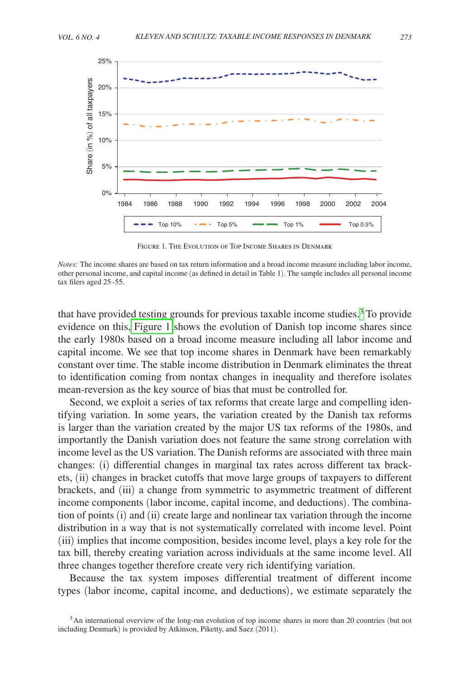

Figure 1. The Evolution of Top Income Shares in Denmark

*Notes:* The income shares are based on tax return information and a broad income measure including labor income, other personal income, and capital income (as defined in detail in Table 1). The sample includes all personal income tax filers aged 25–55.

that have provided testing grounds for previous taxable income studies.<sup>[3](#page-3-0)</sup> To provide evidence on this, Figure 1 shows the evolution of Danish top income shares since the early 1980s based on a broad income measure including all labor income and capital income. We see that top income shares in Denmark have been remarkably constant over time. The stable income distribution in Denmark eliminates the threat to identification coming from nontax changes in inequality and therefore isolates mean-reversion as the key source of bias that must be controlled for.

Second, we exploit a series of tax reforms that create large and compelling identifying variation. In some years, the variation created by the Danish tax reforms is larger than the variation created by the major US tax reforms of the 1980s, and importantly the Danish variation does not feature the same strong correlation with income level as the US variation. The Danish reforms are associated with three main changes: (i) differential changes in marginal tax rates across different tax brackets, (ii) changes in bracket cutoffs that move large groups of taxpayers to different brackets, and (iii) a change from symmetric to asymmetric treatment of different income components (labor income, capital income, and deductions). The combination of points (i) and (ii) create large and nonlinear tax variation through the income distribution in a way that is not systematically correlated with income level. Point (iii) implies that income composition, besides income level, plays a key role for the tax bill, thereby creating variation across individuals at the same income level. All three changes together therefore create very rich identifying variation.

Because the tax system imposes differential treatment of different income types (labor income, capital income, and deductions), we estimate separately the

<span id="page-3-0"></span><sup>&</sup>lt;sup>3</sup>An international overview of the long-run evolution of top income shares in more than 20 countries (but not including Denmark) is provided by Atkinson, Piketty, and Saez (2011).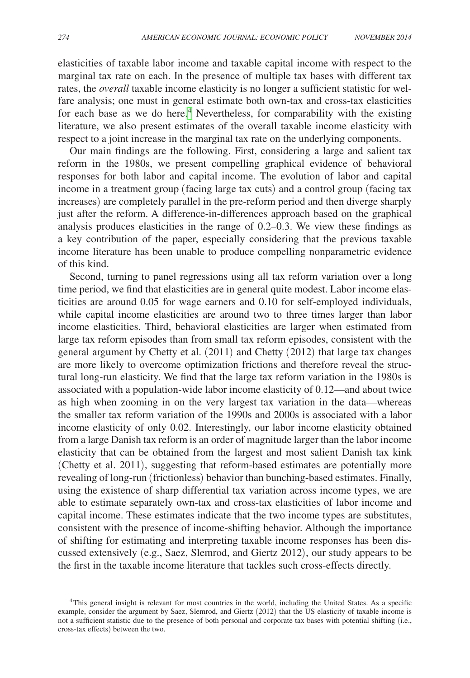elasticities of taxable labor income and taxable capital income with respect to the marginal tax rate on each. In the presence of multiple tax bases with different tax rates, the *overall* taxable income elasticity is no longer a sufficient statistic for welfare analysis; one must in general estimate both own-tax and cross-tax elasticities for each base as we do here.<sup>4</sup> Nevertheless, for comparability with the existing literature, we also present estimates of the overall taxable income elasticity with respect to a joint increase in the marginal tax rate on the underlying components.

Our main findings are the following. First, considering a large and salient tax reform in the 1980s, we present compelling graphical evidence of behavioral responses for both labor and capital income. The evolution of labor and capital income in a treatment group (facing large tax cuts) and a control group (facing tax increases) are completely parallel in the pre-reform period and then diverge sharply just after the reform. A difference-in-differences approach based on the graphical analysis produces elasticities in the range of 0.2–0.3. We view these findings as a key contribution of the paper, especially considering that the previous taxable income literature has been unable to produce compelling nonparametric evidence of this kind.

Second, turning to panel regressions using all tax reform variation over a long time period, we find that elasticities are in general quite modest. Labor income elasticities are around 0.05 for wage earners and 0.10 for self-employed individuals, while capital income elasticities are around two to three times larger than labor income elasticities. Third, behavioral elasticities are larger when estimated from large tax reform episodes than from small tax reform episodes, consistent with the general argument by Chetty et al. (2011) and Chetty (2012) that large tax changes are more likely to overcome optimization frictions and therefore reveal the structural long-run elasticity. We find that the large tax reform variation in the 1980s is associated with a population-wide labor income elasticity of 0.12—and about twice as high when zooming in on the very largest tax variation in the data—whereas the smaller tax reform variation of the 1990s and 2000s is associated with a labor income elasticity of only 0.02. Interestingly, our labor income elasticity obtained from a large Danish tax reform is an order of magnitude larger than the labor income elasticity that can be obtained from the largest and most salient Danish tax kink (Chetty et al. 2011), suggesting that reform-based estimates are potentially more revealing of long-run (frictionless) behavior than bunching-based estimates. Finally, using the existence of sharp differential tax variation across income types, we are able to estimate separately own-tax and cross-tax elasticities of labor income and capital income. These estimates indicate that the two income types are substitutes, consistent with the presence of income-shifting behavior. Although the importance of shifting for estimating and interpreting taxable income responses has been discussed extensively (e.g., Saez, Slemrod, and Giertz 2012), our study appears to be the first in the taxable income literature that tackles such cross-effects directly.

<span id="page-4-0"></span><sup>4</sup>This general insight is relevant for most countries in the world, including the United States. As a specific example, consider the argument by Saez, Slemrod, and Giertz (2012) that the US elasticity of taxable income is not a sufficient statistic due to the presence of both personal and corporate tax bases with potential shifting (i.e., cross-tax effects) between the two.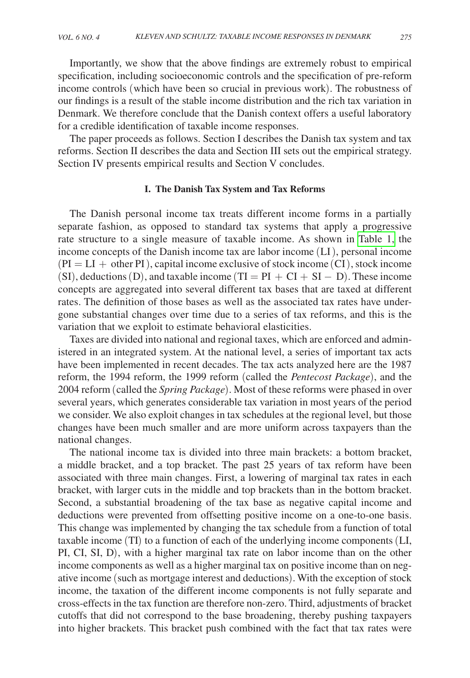Importantly, we show that the above findings are extremely robust to empirical specification, including socioeconomic controls and the specification of pre-reform income controls (which have been so crucial in previous work). The robustness of our findings is a result of the stable income distribution and the rich tax variation in Denmark. We therefore conclude that the Danish context offers a useful laboratory for a credible identification of taxable income responses.

The paper proceeds as follows. Section I describes the Danish tax system and tax reforms. Section II describes the data and Section III sets out the empirical strategy. Section IV presents empirical results and Section V concludes.

#### **I. The Danish Tax System and Tax Reforms**

The Danish personal income tax treats different income forms in a partially separate fashion, as opposed to standard tax systems that apply a progressive rate structure to a single measure of taxable income. As shown in [Table 1,](#page-6-0) the income concepts of the Danish income tax are labor income (LI), personal income  $(PI = LI + other PI)$ , capital income exclusive of stock income  $(CI)$ , stock income (SI), deductions (D), and taxable income (TI =  $PI + CI + SI - D$ ). These income concepts are aggregated into several different tax bases that are taxed at different rates. The definition of those bases as well as the associated tax rates have undergone substantial changes over time due to a series of tax reforms, and this is the variation that we exploit to estimate behavioral elasticities.

Taxes are divided into national and regional taxes, which are enforced and administered in an integrated system. At the national level, a series of important tax acts have been implemented in recent decades. The tax acts analyzed here are the 1987 reform, the 1994 reform, the 1999 reform (called the *Pentecost Package*), and the 2004 reform (called the *Spring Package*). Most of these reforms were phased in over several years, which generates considerable tax variation in most years of the period we consider. We also exploit changes in tax schedules at the regional level, but those changes have been much smaller and are more uniform across taxpayers than the national changes.

The national income tax is divided into three main brackets: a bottom bracket, a middle bracket, and a top bracket. The past 25 years of tax reform have been associated with three main changes. First, a lowering of marginal tax rates in each bracket, with larger cuts in the middle and top brackets than in the bottom bracket. Second, a substantial broadening of the tax base as negative capital income and deductions were prevented from offsetting positive income on a one-to-one basis. This change was implemented by changing the tax schedule from a function of total taxable income (TI) to a function of each of the underlying income components (LI, PI, CI, SI, D), with a higher marginal tax rate on labor income than on the other income components as well as a higher marginal tax on positive income than on negative income (such as mortgage interest and deductions). With the exception of stock income, the taxation of the different income components is not fully separate and cross-effects in the tax function are therefore non-zero. Third, adjustments of bracket cutoffs that did not correspond to the base broadening, thereby pushing taxpayers into higher brackets. This bracket push combined with the fact that tax rates were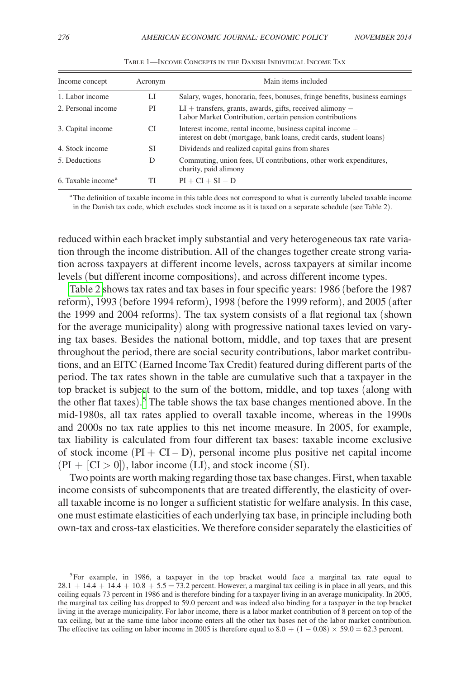<span id="page-6-0"></span>

| Income concept                 | Acronym | Main items included                                                                                                               |
|--------------------------------|---------|-----------------------------------------------------------------------------------------------------------------------------------|
| 1. Labor income                | LI      | Salary, wages, honoraria, fees, bonuses, fringe benefits, business earnings                                                       |
| 2. Personal income             | PI      | $LI$ + transfers, grants, awards, gifts, received alimony $-$<br>Labor Market Contribution, certain pension contributions         |
| 3. Capital income              | CI.     | Interest income, rental income, business capital income -<br>interest on debt (mortgage, bank loans, credit cards, student loans) |
| 4. Stock income                | SІ      | Dividends and realized capital gains from shares                                                                                  |
| 5. Deductions                  | D       | Commuting, union fees, UI contributions, other work expenditures,<br>charity, paid alimony                                        |
| 6. Taxable income <sup>a</sup> | TI      | $PI + CI + SI - D$                                                                                                                |

Table 1—Income Concepts in the Danish Individual Income Tax

a The definition of taxable income in this table does not correspond to what is currently labeled taxable income in the Danish tax code, which excludes stock income as it is taxed on a separate schedule (see Table 2).

reduced within each bracket imply substantial and very heterogeneous tax rate variation through the income distribution. All of the changes together create strong variation across taxpayers at different income levels, across taxpayers at similar income levels (but different income compositions), and across different income types.

[Table 2](#page-7-0) shows tax rates and tax bases in four specific years: 1986 (before the 1987 reform), 1993 (before 1994 reform), 1998 (before the 1999 reform), and 2005 (after the 1999 and 2004 reforms). The tax system consists of a flat regional tax (shown for the average municipality) along with progressive national taxes levied on varying tax bases. Besides the national bottom, middle, and top taxes that are present throughout the period, there are social security contributions, labor market contributions, and an EITC (Earned Income Tax Credit) featured during different parts of the period. The tax rates shown in the table are cumulative such that a taxpayer in the top bracket is subject to the sum of the bottom, middle, and top taxes (along with the other flat taxes). [5](#page-6-1) The table shows the tax base changes mentioned above. In the mid-1980s, all tax rates applied to overall taxable income, whereas in the 1990s and 2000s no tax rate applies to this net income measure. In 2005, for example, tax liability is calculated from four different tax bases: taxable income exclusive of stock income  $(PI + CI - D)$ , personal income plus positive net capital income  $(PI + [CI > 0]),$  labor income (LI), and stock income (SI).

Two points are worth making regarding those tax base changes. First, when taxable income consists of subcomponents that are treated differently, the elasticity of overall taxable income is no longer a sufficient statistic for welfare analysis. In this case, one must estimate elasticities of each underlying tax base, in principle including both own-tax and cross-tax elasticities. We therefore consider separately the elasticities of

<span id="page-6-1"></span><sup>&</sup>lt;sup>5</sup>For example, in 1986, a taxpayer in the top bracket would face a marginal tax rate equal to  $28.1 + 14.4 + 14.4 + 10.8 + 5.5 = 73.2$  percent. However, a marginal tax ceiling is in place in all years, and this ceiling equals 73 percent in 1986 and is therefore binding for a taxpayer living in an average municipality. In 2005, the marginal tax ceiling has dropped to 59.0 percent and was indeed also binding for a taxpayer in the top bracket living in the average municipality. For labor income, there is a labor market contribution of 8 percent on top of the tax ceiling, but at the same time labor income enters all the other tax bases net of the labor market contribution. The effective tax ceiling on labor income in 2005 is therefore equal to  $8.0 + (1 - 0.08) \times 59.0 = 62.3$  percent.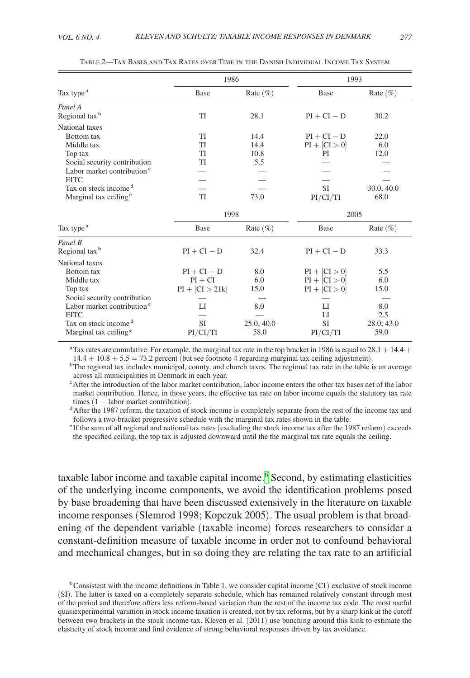<span id="page-7-0"></span>

|                                        | 1986              |              | 1993            |              |
|----------------------------------------|-------------------|--------------|-----------------|--------------|
| Tax type <sup>a</sup>                  | <b>Base</b>       | Rate $(\% )$ | Base            | Rate $(\% )$ |
| Panel A                                |                   |              |                 |              |
| Regional tax <sup>b</sup>              | TI                | 28.1         | $PI + CI - D$   | 30.2         |
| National taxes                         |                   |              |                 |              |
| Bottom tax                             | <b>TI</b>         | 14.4         | $PI + CI - D$   | 22.0         |
| Middle tax                             | <b>TI</b>         | 14.4         | $PI + [CI > 0]$ | 6.0          |
| Top tax                                | TI                | 10.8         | PI              | 12.0         |
| Social security contribution           | TI                | 5.5          |                 |              |
| Labor market contribution <sup>c</sup> |                   |              |                 |              |
| <b>EITC</b>                            |                   |              |                 |              |
| Tax on stock income <sup>d</sup>       |                   |              | <b>SI</b>       | 30.0; 40.0   |
| Marginal tax ceiling <sup>e</sup>      | TI                | 73.0         | PI/CI/TI        | 68.0         |
|                                        |                   | 1998         |                 | 2005         |
| Tax type <sup>a</sup>                  | Base              | Rate $(\% )$ | Base            | Rate $(\% )$ |
| Panel B                                |                   |              |                 |              |
| Regional tax <sup>b</sup>              | $PI + CI - D$     | 32.4         | $PI + CI - D$   | 33.3         |
| National taxes                         |                   |              |                 |              |
| Bottom tax                             | $PI + CI - D$     | 8.0          | $PI + [CI > 0]$ | 5.5          |
| Middle tax                             | $PI + CI$         | 6.0          | $PI + [CI > 0]$ | 6.0          |
| Top tax                                | $PI + [CI > 21k]$ | 15.0         | $PI + [CI > 0]$ | 15.0         |
| Social security contribution           |                   |              |                 |              |
| Labor market contribution <sup>c</sup> | LI                | 8.0          | LI              | 8.0          |
| <b>EITC</b>                            |                   |              | LI              | 2.5          |
| Tax on stock income <sup>d</sup>       | <b>SI</b>         | 25.0; 40.0   | <b>SI</b>       | 28.0; 43.0   |
| Marginal tax ceiling <sup>e</sup>      | PI/CI/TI          | 58.0         | PI/CI/TI        | 59.0         |

Table 2—Tax Bases and Tax Rates over Time in the Danish Individual Income Tax System

<sup>a</sup> Tax rates are cumulative. For example, the marginal tax rate in the top bracket in 1986 is equal to  $28.1 + 14.4 + 14.4 + 10.8 + 5.5 = 73.2$  percent (but see footnote 4 regarding marginal tax ceiling adjustment).

 $\rm{^{b}The}$  regional tax includes municipal, county, and church taxes. The regional tax rate in the table is an average across all municipalities in Denmark in each year.

c After the introduction of the labor market contribution, labor income enters the other tax bases net of the labor market contribution. Hence, in those years, the effective tax rate on labor income equals the statutory tax rate times  $(1 -$ labor market contribution).

<sup>d</sup> After the 1987 reform, the taxation of stock income is completely separate from the rest of the income tax and follows a two-bracket progressive schedule with the marginal tax rates shown in the table.

e If the sum of all regional and national tax rates (excluding the stock income tax after the 1987 reform) exceeds the specified ceiling, the top tax is adjusted downward until the the marginal tax rate equals the ceiling.

taxable labor income and taxable capital income.<sup>[6](#page-7-1)</sup> Second, by estimating elasticities of the underlying income components, we avoid the identification problems posed by base broadening that have been discussed extensively in the literature on taxable income responses (Slemrod 1998; Kopczuk 2005). The usual problem is that broadening of the dependent variable (taxable income) forces researchers to consider a constant-definition measure of taxable income in order not to confound behavioral and mechanical changes, but in so doing they are relating the tax rate to an artificial

<span id="page-7-1"></span> $6$ Consistent with the income definitions in Table 1, we consider capital income  $(CI)$  exclusive of stock income (SI). The latter is taxed on a completely separate schedule, which has remained relatively constant through most of the period and therefore offers less reform-based variation than the rest of the income tax code. The most useful quasiexperimental variation in stock income taxation is created, not by tax reforms, but by a sharp kink at the cutoff between two brackets in the stock income tax. Kleven et al. (2011) use bunching around this kink to estimate the elasticity of stock income and find evidence of strong behavioral responses driven by tax avoidance.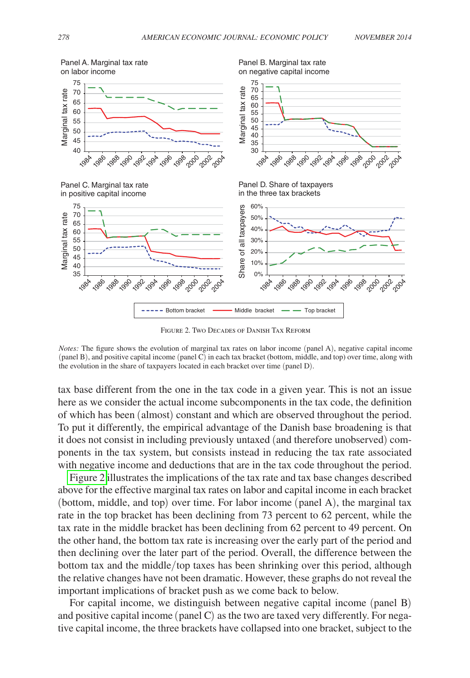

Figure 2. Two Decades of Danish Tax Reform

*Notes:* The figure shows the evolution of marginal tax rates on labor income (panel A), negative capital income (panel B), and positive capital income (panel C) in each tax bracket (bottom, middle, and top) over time, along with the evolution in the share of taxpayers located in each bracket over time (panel D).

tax base different from the one in the tax code in a given year. This is not an issue here as we consider the actual income subcomponents in the tax code, the definition of which has been (almost) constant and which are observed throughout the period. To put it differently, the empirical advantage of the Danish base broadening is that it does not consist in including previously untaxed (and therefore unobserved) components in the tax system, but consists instead in reducing the tax rate associated with negative income and deductions that are in the tax code throughout the period.

Figure 2 illustrates the implications of the tax rate and tax base changes described above for the effective marginal tax rates on labor and capital income in each bracket (bottom, middle, and top) over time. For labor income (panel A), the marginal tax rate in the top bracket has been declining from 73 percent to 62 percent, while the tax rate in the middle bracket has been declining from 62 percent to 49 percent. On the other hand, the bottom tax rate is increasing over the early part of the period and then declining over the later part of the period. Overall, the difference between the bottom tax and the middle/top taxes has been shrinking over this period, although the relative changes have not been dramatic. However, these graphs do not reveal the important implications of bracket push as we come back to below.

For capital income, we distinguish between negative capital income (panel B) and positive capital income (panel C) as the two are taxed very differently. For negative capital income, the three brackets have collapsed into one bracket, subject to the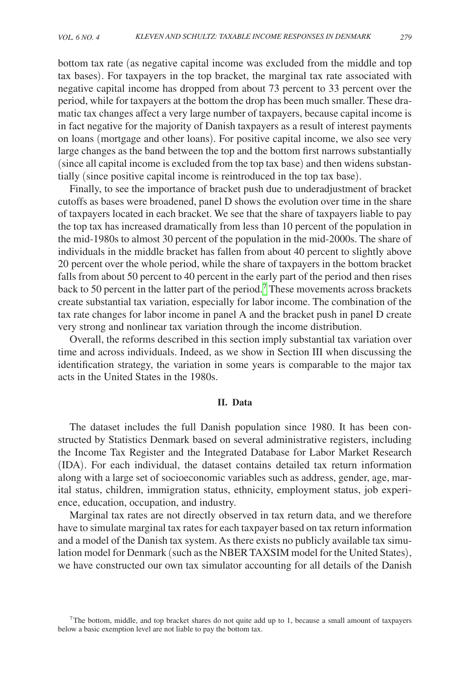bottom tax rate (as negative capital income was excluded from the middle and top tax bases). For taxpayers in the top bracket, the marginal tax rate associated with negative capital income has dropped from about 73 percent to 33 percent over the period, while for taxpayers at the bottom the drop has been much smaller. These dramatic tax changes affect a very large number of taxpayers, because capital income is in fact negative for the majority of Danish taxpayers as a result of interest payments on loans (mortgage and other loans). For positive capital income, we also see very large changes as the band between the top and the bottom first narrows substantially (since all capital income is excluded from the top tax base) and then widens substantially (since positive capital income is reintroduced in the top tax base).

Finally, to see the importance of bracket push due to underadjustment of bracket cutoffs as bases were broadened, panel D shows the evolution over time in the share of taxpayers located in each bracket. We see that the share of taxpayers liable to pay the top tax has increased dramatically from less than 10 percent of the population in the mid-1980s to almost 30 percent of the population in the mid-2000s. The share of individuals in the middle bracket has fallen from about 40 percent to slightly above 20 percent over the whole period, while the share of taxpayers in the bottom bracket falls from about 50 percent to 40 percent in the early part of the period and then rises back to 50 percent in the latter part of the period.<sup>[7](#page-9-0)</sup> These movements across brackets create substantial tax variation, especially for labor income. The combination of the tax rate changes for labor income in panel A and the bracket push in panel D create very strong and nonlinear tax variation through the income distribution.

Overall, the reforms described in this section imply substantial tax variation over time and across individuals. Indeed, as we show in Section III when discussing the identification strategy, the variation in some years is comparable to the major tax acts in the United States in the 1980s.

#### **II. Data**

The dataset includes the full Danish population since 1980. It has been constructed by Statistics Denmark based on several administrative registers, including the Income Tax Register and the Integrated Database for Labor Market Research (IDA). For each individual, the dataset contains detailed tax return information along with a large set of socioeconomic variables such as address, gender, age, marital status, children, immigration status, ethnicity, employment status, job experience, education, occupation, and industry.

Marginal tax rates are not directly observed in tax return data, and we therefore have to simulate marginal tax rates for each taxpayer based on tax return information and a model of the Danish tax system. As there exists no publicly available tax simulation model for Denmark (such as the NBER TAXSIM model for the United States), we have constructed our own tax simulator accounting for all details of the Danish

<span id="page-9-0"></span><sup>&</sup>lt;sup>7</sup>The bottom, middle, and top bracket shares do not quite add up to 1, because a small amount of taxpayers below a basic exemption level are not liable to pay the bottom tax.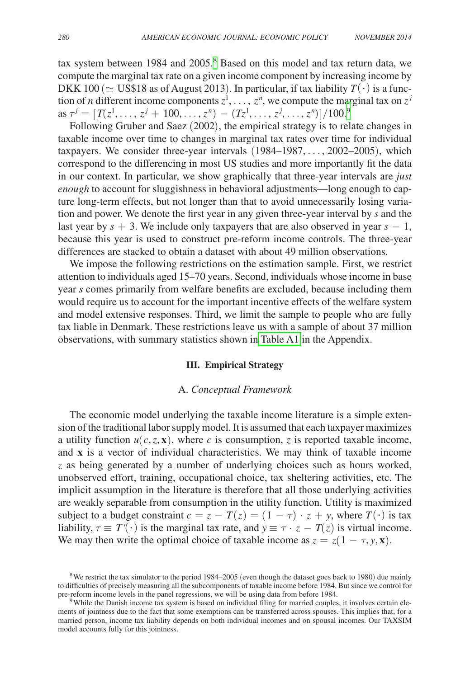tax system between 1984 and 2005.<sup>8</sup> Based on this model and tax return data, we compute the marginal tax rate on a given income component by increasing income by DKK 100 ( $\simeq$  US\$18 as of August 2013). In particular, if tax liability  $T(\cdot)$  is a function of *n* different income components  $z^1, \ldots, z^n$ , we compute the marginal tax on  $z^j$  $\text{as } \tau^j = [T(z^1, \ldots, z^j + 100, \ldots, z^n) - (Tz^1, \ldots, z^j, \ldots, z^n)]/100.9$  $\text{as } \tau^j = [T(z^1, \ldots, z^j + 100, \ldots, z^n) - (Tz^1, \ldots, z^j, \ldots, z^n)]/100.9$ 

Following Gruber and Saez (2002), the empirical strategy is to relate changes in taxable income over time to changes in marginal tax rates over time for individual taxpayers. We consider three-year intervals (1984–1987,…, 2002–2005), which correspond to the differencing in most US studies and more importantly fit the data in our context. In particular, we show graphically that three-year intervals are *just enough* to account for sluggishness in behavioral adjustments—long enough to capture long-term effects, but not longer than that to avoid unnecessarily losing variation and power. We denote the first year in any given three-year interval by *s* and the last year by  $s + 3$ . We include only taxpayers that are also observed in year  $s - 1$ , because this year is used to construct pre-reform income controls. The three-year differences are stacked to obtain a dataset with about 49 million observations.

We impose the following restrictions on the estimation sample. First, we restrict attention to individuals aged 15–70 years. Second, individuals whose income in base year *s* comes primarily from welfare benefits are excluded, because including them would require us to account for the important incentive effects of the welfare system and model extensive responses. Third, we limit the sample to people who are fully tax liable in Denmark. These restrictions leave us with a sample of about 37 million observations, with summary statistics shown i[n Table A1](#page-29-0) in the Appendix.

#### **III. Empirical Strategy**

#### A. *Conceptual Framework*

The economic model underlying the taxable income literature is a simple extension of the traditional labor supply model. It is assumed that each taxpayer maximizes a utility function  $u(c, z, x)$ , where *c* is consumption, *z* is reported taxable income, and **x** is a vector of individual characteristics. We may think of taxable income *z* as being generated by a number of underlying choices such as hours worked, unobserved effort, training, occupational choice, tax sheltering activities, etc. The implicit assumption in the literature is therefore that all those underlying activities are weakly separable from consumption in the utility function. Utility is maximized subject to a budget constraint  $c = z - T(z) = (1 - \tau) \cdot z + y$ , where  $T(\cdot)$  is tax liability,  $\tau \equiv T'(\cdot)$  is the marginal tax rate, and  $y \equiv \tau \cdot z - T(z)$  is virtual income. We may then write the optimal choice of taxable income as  $z = z(1 - \tau, y, x)$ .

<span id="page-10-0"></span><sup>&</sup>lt;sup>8</sup>We restrict the tax simulator to the period 1984–2005 (even though the dataset goes back to 1980) due mainly to difficulties of precisely measuring all the subcomponents of taxable income before 1984. But since we control for pre-reform income levels in the panel regressions, we will be using data from before 1984.

<span id="page-10-1"></span><sup>&</sup>lt;sup>9</sup>While the Danish income tax system is based on individual filing for married couples, it involves certain elements of jointness due to the fact that some exemptions can be transferred across spouses. This implies that, for a married person, income tax liability depends on both individual incomes and on spousal incomes. Our TAXSIM model accounts fully for this jointness.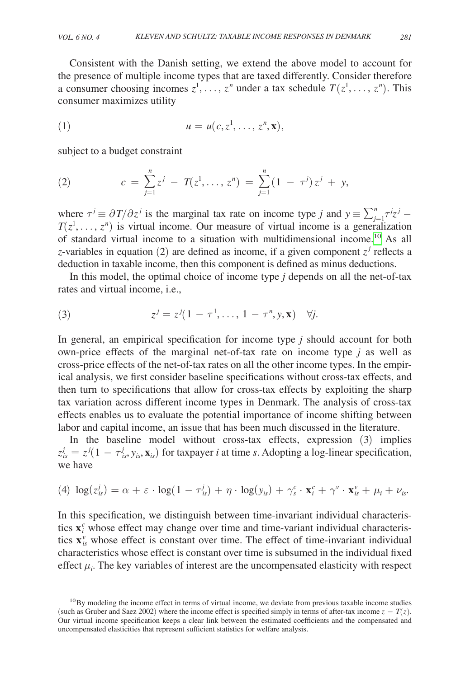Consistent with the Danish setting, we extend the above model to account for the presence of multiple income types that are taxed differently. Consider therefore a consumer choosing incomes  $z^1, \ldots, z^n$  under a tax schedule  $T(z^1, \ldots, z^n)$ . This consumer maximizes utility

$$
(1) \t u = u(c, z1, ..., zn, \mathbf{x}),
$$

subject to a budget constraint

(2) 
$$
c = \sum_{j=1}^{n} z^{j} - T(z^{1}, \ldots, z^{n}) = \sum_{j=1}^{n} (1 - \tau^{j}) z^{j} + y,
$$

where  $\tau^j \equiv \frac{\partial T}{\partial z^j}$  is the marginal tax rate on income type *j* and  $y \equiv \sum_{j=1}^n \tau^j z^j - \tau^j z^j$  $T(z^1, \ldots, z^n)$  is virtual income. Our measure of virtual income is a generalization of standard virtual income to a situation with multidimensional income[.10](#page-11-0) As all *z*-variables in equation (2) are defined as income, if a given component  $z^j$  reflects a deduction in taxable income, then this component is defined as minus deductions.

In this model, the optimal choice of income type *j* depends on all the net-of-tax rates and virtual income, i.e.,

(3) 
$$
z^{j} = z^{j}(1 - \tau^{1}, ..., 1 - \tau^{n}, y, \mathbf{x}) \quad \forall j.
$$

In general, an empirical specification for income type *j* should account for both own-price effects of the marginal net-of-tax rate on income type *j* as well as cross-price effects of the net-of-tax rates on all the other income types. In the empirical analysis, we first consider baseline specifications without cross-tax effects, and then turn to specifications that allow for cross-tax effects by exploiting the sharp tax variation across different income types in Denmark. The analysis of cross-tax effects enables us to evaluate the potential importance of income shifting between labor and capital income, an issue that has been much discussed in the literature.

In the baseline model without cross-tax effects, expression (3) implies  $z_{is}^j = z^j(1 - \tau_{is}^j, y_{is}, \mathbf{x}_{is})$  for taxpayer *i* at time *s*. Adopting a log-linear specification, we have

(4) 
$$
\log(z_{is}^j) = \alpha + \varepsilon \cdot \log(1 - \tau_{is}^j) + \eta \cdot \log(y_{is}) + \gamma_s^c \cdot \mathbf{x}_i^c + \gamma^v \cdot \mathbf{x}_{is}^v + \mu_i + \nu_{is}.
$$

In this specification, we distinguish between time-invariant individual characteristics  $\mathbf{x}_i^c$  whose effect may change over time and time-variant individual characteristics  $\mathbf{x}_{is}^{\nu}$  whose effect is constant over time. The effect of time-invariant individual characteristics whose effect is constant over time is subsumed in the individual fixed effect  $\mu_i$ . The key variables of interest are the uncompensated elasticity with respect

<span id="page-11-0"></span> $10By$  modeling the income effect in terms of virtual income, we deviate from previous taxable income studies (such as Gruber and Saez 2002) where the income effect is specified simply in terms of after-tax income  $z - T(z)$ . Our virtual income specification keeps a clear link between the estimated coefficients and the compensated and uncompensated elasticities that represent sufficient statistics for welfare analysis.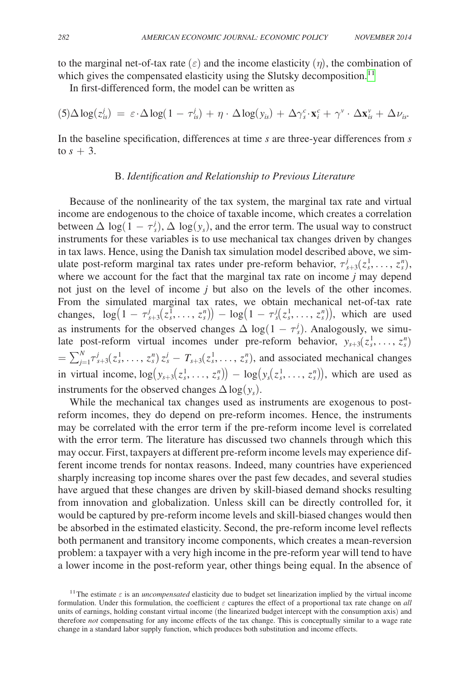to the marginal net-of-tax rate  $(\varepsilon)$  and the income elasticity  $(\eta)$ , the combination of which gives the compensated elasticity using the Slutsky decomposition.<sup>[11](#page-12-0)</sup>

In first-differenced form, the model can be written as

$$
(5)\Delta \log(z_{is}^j) = \varepsilon \cdot \Delta \log(1-\tau_{is}^j) + \eta \cdot \Delta \log(y_{is}) + \Delta \gamma_s^c \cdot \mathbf{x}_i^c + \gamma^v \cdot \Delta \mathbf{x}_{is}^v + \Delta \nu_{is}.
$$

In the baseline specification, differences at time *s* are three-year differences from *s* to  $s + 3$ .

#### B. *Identification and Relationship to Previous Literature*

Because of the nonlinearity of the tax system, the marginal tax rate and virtual income are endogenous to the choice of taxable income, which creates a correlation between  $\Delta \log(1 - \tau_s^j)$ ,  $\Delta \log(y_s)$ , and the error term. The usual way to construct instruments for these variables is to use mechanical tax changes driven by changes in tax laws. Hence, using the Danish tax simulation model described above, we simulate post-reform marginal tax rates under pre-reform behavior,  $\tau_{s+3}^j(z_s^1, \ldots, z_s^n)$ , where we account for the fact that the marginal tax rate on income *j* may depend not just on the level of income *j* but also on the levels of the other incomes. From the simulated marginal tax rates, we obtain mechanical net-of-tax rate changes,  $log(1 - \tau_{s+3}^i(z_s^1, ..., z_s^n)) - log(1 - \tau_s^i(z_s^1, ..., z_s^n))$ , which are used as instruments for the observed changes  $\Delta \log(1 - \tau_s^j)$ . Analogously, we simulate post-reform virtual incomes under pre-reform behavior,  $y_{s+3}(z_s^1, \ldots, z_s^n)$  $=\sum_{j=1}^{N} \tau_{s+3}^{j}(z_s^1,\ldots,z_s^n) z_s^j - T_{s+3}(z_s^1,\ldots,z_s^n)$ , and associated mechanical changes in virtual income,  $\log(y_{s+3}(z_s^1, \ldots, z_s^n)) - \log(y_s(z_s^1, \ldots, z_s^n))$ , which are used as instruments for the observed changes  $\Delta \log(y_s)$ .

While the mechanical tax changes used as instruments are exogenous to postreform incomes, they do depend on pre-reform incomes. Hence, the instruments may be correlated with the error term if the pre-reform income level is correlated with the error term. The literature has discussed two channels through which this may occur. First, taxpayers at different pre-reform income levels may experience different income trends for nontax reasons. Indeed, many countries have experienced sharply increasing top income shares over the past few decades, and several studies have argued that these changes are driven by skill-biased demand shocks resulting from innovation and globalization. Unless skill can be directly controlled for, it would be captured by pre-reform income levels and skill-biased changes would then be absorbed in the estimated elasticity. Second, the pre-reform income level reflects both permanent and transitory income components, which creates a mean-reversion problem: a taxpayer with a very high income in the pre-reform year will tend to have a lower income in the post-reform year, other things being equal. In the absence of

<span id="page-12-0"></span><sup>&</sup>lt;sup>11</sup>The estimate  $\varepsilon$  is an *uncompensated* elasticity due to budget set linearization implied by the virtual income formulation. Under this formulation, the coefficient  $\varepsilon$  captures the effect of a proportional tax rate change on *all* units of earnings, holding constant virtual income (the linearized budget intercept with the consumption axis) and therefore *not* compensating for any income effects of the tax change. This is conceptually similar to a wage rate change in a standard labor supply function, which produces both substitution and income effects.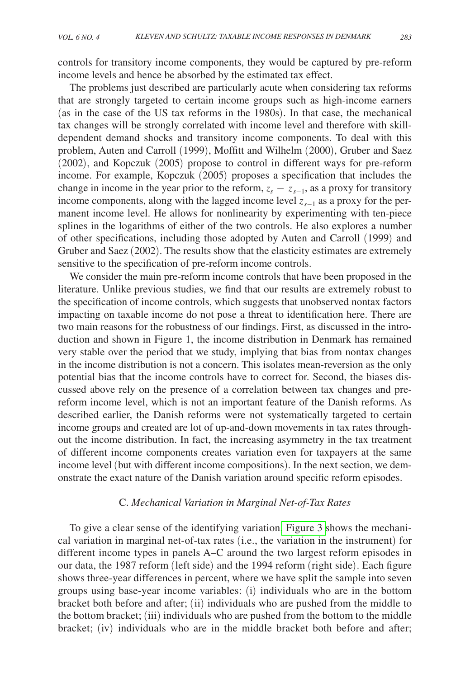controls for transitory income components, they would be captured by pre-reform income levels and hence be absorbed by the estimated tax effect.

The problems just described are particularly acute when considering tax reforms that are strongly targeted to certain income groups such as high-income earners (as in the case of the US tax reforms in the 1980s). In that case, the mechanical tax changes will be strongly correlated with income level and therefore with skilldependent demand shocks and transitory income components. To deal with this problem, Auten and Carroll (1999), Moffitt and Wilhelm (2000), Gruber and Saez (2002), and Kopczuk (2005) propose to control in different ways for pre-reform income. For example, Kopczuk (2005) proposes a specification that includes the change in income in the year prior to the reform,  $z_s - z_{s-1}$ , as a proxy for transitory income components, along with the lagged income level *zs*−1 as a proxy for the permanent income level. He allows for nonlinearity by experimenting with ten-piece splines in the logarithms of either of the two controls. He also explores a number of other specifications, including those adopted by Auten and Carroll (1999) and Gruber and Saez (2002). The results show that the elasticity estimates are extremely sensitive to the specification of pre-reform income controls.

We consider the main pre-reform income controls that have been proposed in the literature. Unlike previous studies, we find that our results are extremely robust to the specification of income controls, which suggests that unobserved nontax factors impacting on taxable income do not pose a threat to identification here. There are two main reasons for the robustness of our findings. First, as discussed in the introduction and shown in Figure 1, the income distribution in Denmark has remained very stable over the period that we study, implying that bias from nontax changes in the income distribution is not a concern. This isolates mean-reversion as the only potential bias that the income controls have to correct for. Second, the biases discussed above rely on the presence of a correlation between tax changes and prereform income level, which is not an important feature of the Danish reforms. As described earlier, the Danish reforms were not systematically targeted to certain income groups and created are lot of up-and-down movements in tax rates throughout the income distribution. In fact, the increasing asymmetry in the tax treatment of different income components creates variation even for taxpayers at the same income level (but with different income compositions). In the next section, we demonstrate the exact nature of the Danish variation around specific reform episodes.

#### C. *Mechanical Variation in Marginal Net-of-Tax Rates*

To give a clear sense of the identifying variation[, Figure 3](#page-14-0) shows the mechanical variation in marginal net-of-tax rates (i.e., the variation in the instrument) for different income types in panels A–C around the two largest reform episodes in our data, the 1987 reform (left side) and the 1994 reform (right side). Each figure shows three-year differences in percent, where we have split the sample into seven groups using base-year income variables: (i) individuals who are in the bottom bracket both before and after; (ii) individuals who are pushed from the middle to the bottom bracket; (iii) individuals who are pushed from the bottom to the middle bracket; (iv) individuals who are in the middle bracket both before and after;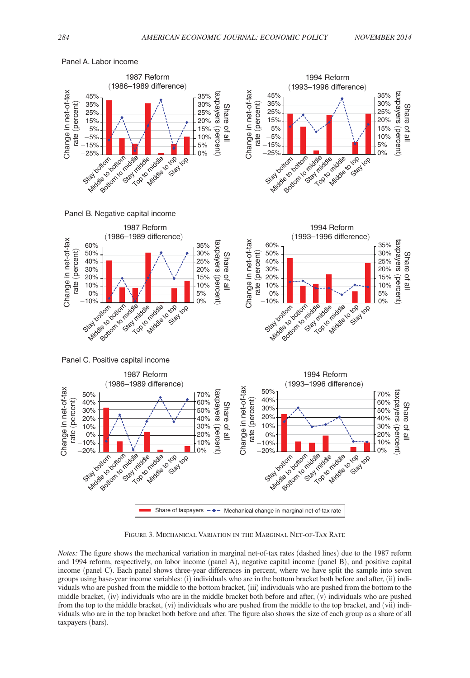1994 Reform (1993–1996 difference)



<span id="page-14-0"></span>Panel A. Labor income

1987 Reform (1986–1989 difference)

Figure 3. Mechanical Variation in the Marginal Net-of-Tax Rate

*Notes:* The figure shows the mechanical variation in marginal net-of-tax rates (dashed lines) due to the 1987 reform and 1994 reform, respectively, on labor income (panel A), negative capital income (panel B), and positive capital income (panel C). Each panel shows three-year differences in percent, where we have split the sample into seven groups using base-year income variables: (i) individuals who are in the bottom bracket both before and after, (ii) individuals who are pushed from the middle to the bottom bracket, (iii) individuals who are pushed from the bottom to the middle bracket, (iv) individuals who are in the middle bracket both before and after,  $(v)$  individuals who are pushed from the top to the middle bracket, (vi) individuals who are pushed from the middle to the top bracket, and (vii) individuals who are in the top bracket both before and after. The figure also shows the size of each group as a share of all taxpayers (bars).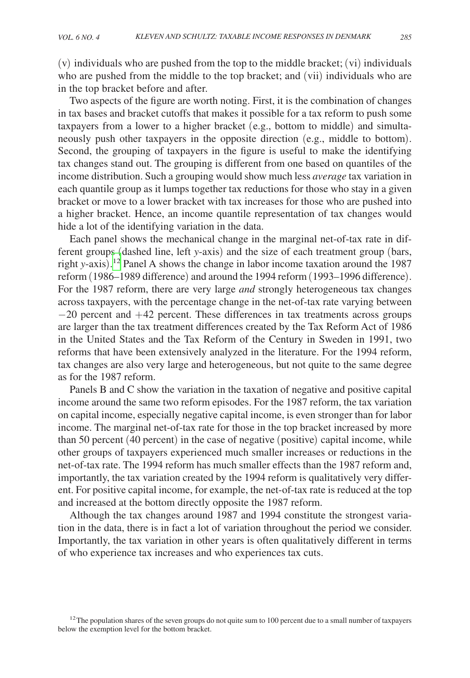(v) individuals who are pushed from the top to the middle bracket; (vi) individuals who are pushed from the middle to the top bracket; and (vii) individuals who are in the top bracket before and after.

Two aspects of the figure are worth noting. First, it is the combination of changes in tax bases and bracket cutoffs that makes it possible for a tax reform to push some taxpayers from a lower to a higher bracket (e.g., bottom to middle) and simultaneously push other taxpayers in the opposite direction (e.g., middle to bottom). Second, the grouping of taxpayers in the figure is useful to make the identifying tax changes stand out. The grouping is different from one based on quantiles of the income distribution. Such a grouping would show much less *average* tax variation in each quantile group as it lumps together tax reductions for those who stay in a given bracket or move to a lower bracket with tax increases for those who are pushed into a higher bracket. Hence, an income quantile representation of tax changes would hide a lot of the identifying variation in the data.

Each panel shows the mechanical change in the marginal net-of-tax rate in different groups (dashed line, left *y*-axis) and the size of each treatment group (bars, right *y*-axis). [12](#page-15-0) Panel A shows the change in labor income taxation around the 1987 reform (1986–1989 difference) and around the 1994 reform (1993–1996 difference). For the 1987 reform, there are very large *and* strongly heterogeneous tax changes across taxpayers, with the percentage change in the net-of-tax rate varying between −20 percent and +42 percent. These differences in tax treatments across groups are larger than the tax treatment differences created by the Tax Reform Act of 1986 in the United States and the Tax Reform of the Century in Sweden in 1991, two reforms that have been extensively analyzed in the literature. For the 1994 reform, tax changes are also very large and heterogeneous, but not quite to the same degree as for the 1987 reform.

Panels B and C show the variation in the taxation of negative and positive capital income around the same two reform episodes. For the 1987 reform, the tax variation on capital income, especially negative capital income, is even stronger than for labor income. The marginal net-of-tax rate for those in the top bracket increased by more than 50 percent (40 percent) in the case of negative (positive) capital income, while other groups of taxpayers experienced much smaller increases or reductions in the net-of-tax rate. The 1994 reform has much smaller effects than the 1987 reform and, importantly, the tax variation created by the 1994 reform is qualitatively very different. For positive capital income, for example, the net-of-tax rate is reduced at the top and increased at the bottom directly opposite the 1987 reform.

Although the tax changes around 1987 and 1994 constitute the strongest variation in the data, there is in fact a lot of variation throughout the period we consider. Importantly, the tax variation in other years is often qualitatively different in terms of who experience tax increases and who experiences tax cuts.

<span id="page-15-0"></span> $12$ The population shares of the seven groups do not quite sum to 100 percent due to a small number of taxpayers below the exemption level for the bottom bracket.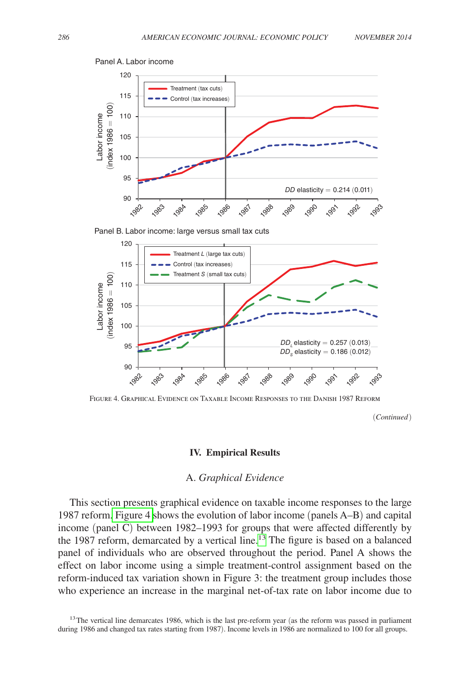

Panel A. Labor income

Panel B. Labor income: large versus small tax cuts



Figure 4. Graphical Evidence on Taxable Income Responses to the Danish 1987 Reform

(*Continued*)

#### **IV. Empirical Results**

#### A. *Graphical Evidence*

This section presents graphical evidence on taxable income responses to the large 1987 reform. Figure 4 shows the evolution of labor income (panels A-B) and capital income (panel C) between 1982–1993 for groups that were affected differently by the 1987 reform, demarcated by a vertical line.<sup>13</sup> The figure is based on a balanced net 1267 reform, demarcated by a vertical line. The light is based on a balanced panel of individuals who are observed throughout the period. Panel A shows the effect on labor income using a simple treatment-control assignment based on the reform-induced tax variation shown in Figure 3: the treatment group includes those who experience an increase in the marginal net-of-tax rate on labor income due to Positive capital income capital income capital income capital income capital income capital income capital income capital income capital income capital income capital income capital income capital income capital income cap  $\frac{1}{10}$ 

<span id="page-16-0"></span> $13$ The vertical line demarcates 1986, which is the last pre-reform year (as the reform was passed in parliament during 1986 and changed tax rates starting from 1987). Income levels in 1986 are normalized to 100 for all groups.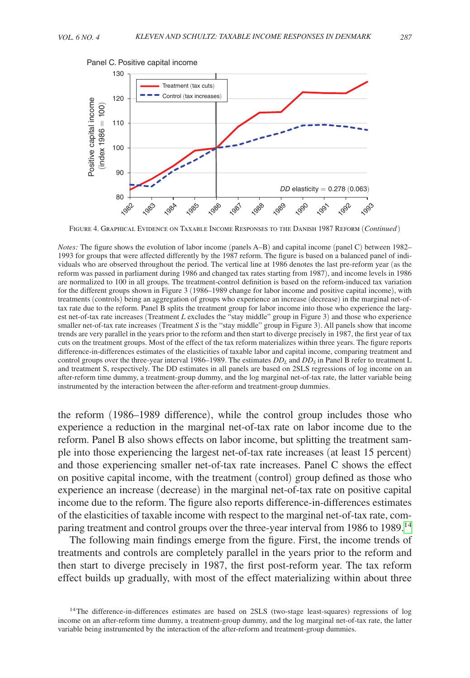

Figure 4. Graphical Evidence on Taxable Income Responses to the Danish 1987 Reform (*Continued* )

*Notes:* The figure shows the evolution of labor income (panels A–B) and capital income (panel C) between 1982– 1993 for groups that were affected differently by the 1987 reform. The figure is based on a balanced panel of individuals who are observed throughout the period. The vertical line at 1986 denotes the last pre-reform year (as the reform was passed in parliament during 1986 and changed tax rates starting from 1987), and income levels in 1986 are normalized to 100 in all groups. The treatment-control definition is based on the reform-induced tax variation for the different groups shown in Figure 3 (1986–1989 change for labor income and positive capital income), with treatments (controls) being an aggregation of groups who experience an increase (decrease) in the marginal net-oftax rate due to the reform. Panel B splits the treatment group for labor income into those who experience the largest net-of-tax rate increases (Treatment *L* excludes the "stay middle" group in Figure 3) and those who experience smaller net-of-tax rate increases (Treatment *S* is the "stay middle" group in Figure 3). All panels show that income trends are very parallel in the years prior to the reform and then start to diverge precisely in 1987, the first year of tax cuts on the treatment groups. Most of the effect of the tax reform materializes within three years. The figure reports difference-in-differences estimates of the elasticities of taxable labor and capital income, comparing treatment and control groups over the three-year interval 1986–1989. The estimates  $DD<sub>L</sub>$  and  $DD<sub>S</sub>$  in Panel B refer to treatment L and treatment S, respectively. The DD estimates in all panels are based on 2SLS regressions of log income on an after-reform time dummy, a treatment-group dummy, and the log marginal net-of-tax rate, the latter variable being instrumented by the interaction between the after-reform and treatment-group dummies.

the reform (1986–1989 difference), while the control group includes those who experience a reduction in the marginal net-of-tax rate on labor income due to the reform. Panel B also shows effects on labor income, but splitting the treatment sample into those experiencing the largest net-of-tax rate increases (at least 15 percent) and those experiencing smaller net-of-tax rate increases. Panel C shows the effect on positive capital income, with the treatment (control) group defined as those who experience an increase (decrease) in the marginal net-of-tax rate on positive capital income due to the reform. The figure also reports difference-in-differences estimates of the elasticities of taxable income with respect to the marginal net-of-tax rate, com-paring treatment and control groups over the three-year interval from 1986 to 1989.<sup>[14](#page-17-0)</sup>

The following main findings emerge from the figure. First, the income trends of treatments and controls are completely parallel in the years prior to the reform and then start to diverge precisely in 1987, the first post-reform year. The tax reform effect builds up gradually, with most of the effect materializing within about three

<span id="page-17-0"></span><sup>&</sup>lt;sup>14</sup>The difference-in-differences estimates are based on 2SLS (two-stage least-squares) regressions of log income on an after-reform time dummy, a treatment-group dummy, and the log marginal net-of-tax rate, the latter variable being instrumented by the interaction of the after-reform and treatment-group dummies.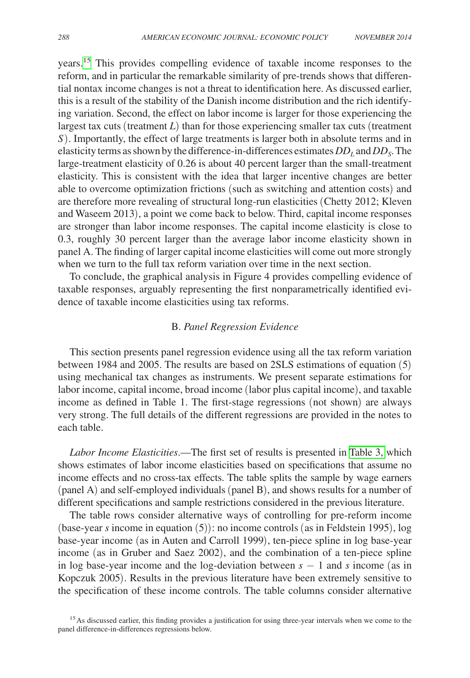years.[15](#page-18-0) This provides compelling evidence of taxable income responses to the reform, and in particular the remarkable similarity of pre-trends shows that differential nontax income changes is not a threat to identification here. As discussed earlier, this is a result of the stability of the Danish income distribution and the rich identifying variation. Second, the effect on labor income is larger for those experiencing the largest tax cuts (treatment *L*) than for those experiencing smaller tax cuts (treatment *S*). Importantly, the effect of large treatments is larger both in absolute terms and in elasticity terms as shown by the difference-in-differences estimates  $DD<sub>L</sub>$  and  $DD<sub>S</sub>$ . The large-treatment elasticity of 0.26 is about 40 percent larger than the small-treatment elasticity. This is consistent with the idea that larger incentive changes are better able to overcome optimization frictions (such as switching and attention costs) and are therefore more revealing of structural long-run elasticities (Chetty 2012; Kleven and Waseem 2013), a point we come back to below. Third, capital income responses are stronger than labor income responses. The capital income elasticity is close to 0.3, roughly 30 percent larger than the average labor income elasticity shown in panel A. The finding of larger capital income elasticities will come out more strongly when we turn to the full tax reform variation over time in the next section.

To conclude, the graphical analysis in Figure 4 provides compelling evidence of taxable responses, arguably representing the first nonparametrically identified evidence of taxable income elasticities using tax reforms.

#### B. *Panel Regression Evidence*

This section presents panel regression evidence using all the tax reform variation between 1984 and 2005. The results are based on 2SLS estimations of equation (5) using mechanical tax changes as instruments. We present separate estimations for labor income, capital income, broad income (labor plus capital income), and taxable income as defined in Table 1. The first-stage regressions (not shown) are always very strong. The full details of the different regressions are provided in the notes to each table.

*Labor Income Elasticities*.—The first set of results is presented in [Table 3,](#page-19-0) which shows estimates of labor income elasticities based on specifications that assume no income effects and no cross-tax effects. The table splits the sample by wage earners (panel A) and self-employed individuals (panel B), and shows results for a number of different specifications and sample restrictions considered in the previous literature.

The table rows consider alternative ways of controlling for pre-reform income (base-year *s* income in equation (5)): no income controls (as in Feldstein 1995), log base-year income (as in Auten and Carroll 1999), ten-piece spline in log base-year income (as in Gruber and Saez 2002), and the combination of a ten-piece spline in log base-year income and the log-deviation between *s* − 1 and *s* income (as in Kopczuk 2005). Results in the previous literature have been extremely sensitive to the specification of these income controls. The table columns consider alternative

<span id="page-18-0"></span><sup>&</sup>lt;sup>15</sup>As discussed earlier, this finding provides a justification for using three-year intervals when we come to the panel difference-in-differences regressions below.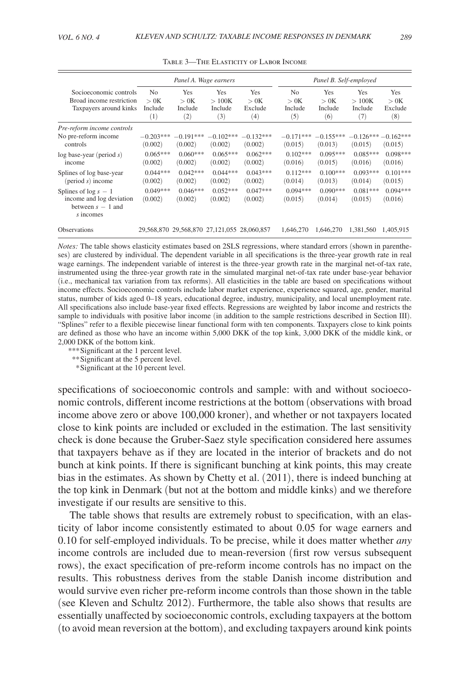<span id="page-19-0"></span>

|                                                                                         |                                               |                               | Panel A. Wage earners                 |                                             |                                          | Panel B. Self-employed        |                                |                                 |
|-----------------------------------------------------------------------------------------|-----------------------------------------------|-------------------------------|---------------------------------------|---------------------------------------------|------------------------------------------|-------------------------------|--------------------------------|---------------------------------|
| Socioeconomic controls<br>Broad income restriction<br>Taxpayers around kinks            | N <sub>0</sub><br>> 0K<br>Include<br>$^{(1)}$ | Yes<br>> 0K<br>Include<br>(2) | <b>Yes</b><br>>100K<br>Include<br>(3) | Yes<br>> 0K<br>Exclude<br>(4)               | N <sub>0</sub><br>> 0K<br>Include<br>(5) | Yes<br>> 0K<br>Include<br>(6) | Yes<br>>100K<br>Include<br>(7) | Yes<br>> 0K<br>Exclude<br>(8)   |
| Pre-reform income controls<br>No pre-reform income<br>controls                          | $-0.203***$<br>(0.002)                        | $-0.191***$<br>(0.002)        | $-0.102***$<br>(0.002)                | $-0.132***$<br>(0.002)                      | $-0.171***$<br>(0.015)                   | $-0.155***$<br>(0.013)        | (0.015)                        | $-0.126***-0.162***$<br>(0.015) |
| $log base-year (period s)$<br>income                                                    | $0.065***$<br>(0.002)                         | $0.060***$<br>(0.002)         | $0.065***$<br>(0.002)                 | $0.062***$<br>(0.002)                       | $0.102***$<br>(0.016)                    | $0.095***$<br>(0.015)         | $0.085***$<br>(0.016)          | $0.098***$<br>(0.016)           |
| Splines of log base-year<br>$(period s)$ income                                         | $0.044***$<br>(0.002)                         | $0.042***$<br>(0.002)         | $0.044***$<br>(0.002)                 | $0.043***$<br>(0.002)                       | $0.112***$<br>(0.014)                    | $0.100***$<br>(0.013)         | $0.093***$<br>(0.014)          | $0.101***$<br>(0.015)           |
| Splines of $\log s - 1$<br>income and log deviation<br>between $s - 1$ and<br>s incomes | $0.049***$<br>(0.002)                         | $0.046***$<br>(0.002)         | $0.052***$<br>(0.002)                 | $0.047***$<br>(0.002)                       | $0.094***$<br>(0.015)                    | $0.090***$<br>(0.014)         | $0.081***$<br>(0.015)          | $0.094***$<br>(0.016)           |
| <b>Observations</b>                                                                     |                                               |                               |                                       | 29,568,870 29,568,870 27,121,055 28,060,857 | 1.646.270                                | 1,646,270                     | 1.381.560                      | 1.405.915                       |

Table 3—The Elasticity of Labor Income

*Notes:* The table shows elasticity estimates based on 2SLS regressions, where standard errors (shown in parentheses) are clustered by individual. The dependent variable in all specifications is the three-year growth rate in real wage earnings. The independent variable of interest is the three-year growth rate in the marginal net-of-tax rate, instrumented using the three-year growth rate in the simulated marginal net-of-tax rate under base-year behavior (i.e., mechanical tax variation from tax reforms). All elasticities in the table are based on specifications without income effects. Socioeconomic controls include labor market experience, experience squared, age, gender, marital status, number of kids aged 0–18 years, educational degree, industry, municipality, and local unemployment rate. All specifications also include base-year fixed effects. Regressions are weighted by labor income and restricts the sample to individuals with positive labor income (in addition to the sample restrictions described in Section III). "Splines" refer to a flexible piecewise linear functional form with ten components. Taxpayers close to kink points are defined as those who have an income within 5,000 DKK of the top kink, 3,000 DKK of the middle kink, or 2,000 DKK of the bottom kink.

*\*\*\**Significant at the 1 percent level.

*\*\**Significant at the 5 percent level.

 *\**Significant at the 10 percent level.

specifications of socioeconomic controls and sample: with and without socioeconomic controls, different income restrictions at the bottom (observations with broad income above zero or above 100,000 kroner), and whether or not taxpayers located close to kink points are included or excluded in the estimation. The last sensitivity check is done because the Gruber-Saez style specification considered here assumes that taxpayers behave as if they are located in the interior of brackets and do not bunch at kink points. If there is significant bunching at kink points, this may create bias in the estimates. As shown by Chetty et al. (2011), there is indeed bunching at the top kink in Denmark (but not at the bottom and middle kinks) and we therefore investigate if our results are sensitive to this.

The table shows that results are extremely robust to specification, with an elasticity of labor income consistently estimated to about 0.05 for wage earners and 0.10 for self-employed individuals. To be precise, while it does matter whether *any* income controls are included due to mean-reversion (first row versus subsequent rows), the exact specification of pre-reform income controls has no impact on the results. This robustness derives from the stable Danish income distribution and would survive even richer pre-reform income controls than those shown in the table (see Kleven and Schultz 2012). Furthermore, the table also shows that results are essentially unaffected by socioeconomic controls, excluding taxpayers at the bottom (to avoid mean reversion at the bottom), and excluding taxpayers around kink points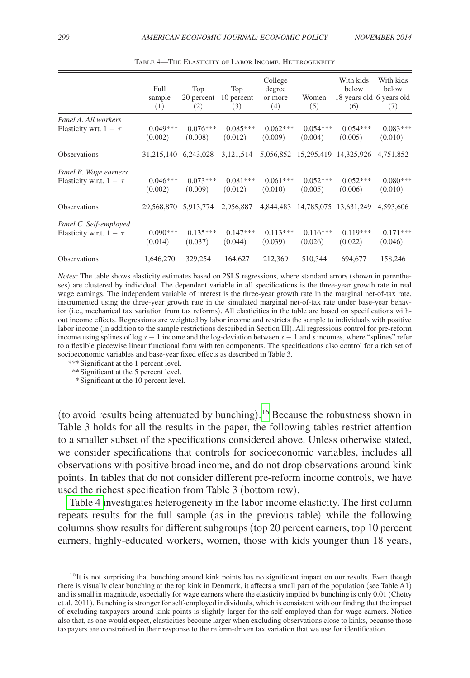|                              | Full<br>sample<br>(1) | Top<br>20 percent<br>(2) | Top<br>10 percent<br>(3) | College<br>degree<br>or more<br>(4) | Women<br>(5)          | With kids<br>below<br>18 years old 6 years old<br>(6) | With kids<br>below<br>(7) |
|------------------------------|-----------------------|--------------------------|--------------------------|-------------------------------------|-----------------------|-------------------------------------------------------|---------------------------|
| Panel A. All workers         |                       |                          |                          |                                     |                       |                                                       |                           |
| Elasticity wrt. $1 - \tau$   | $0.049***$<br>(0.002) | $0.076***$<br>(0.008)    | $0.085***$<br>(0.012)    | $0.062***$<br>(0.009)               | $0.054***$<br>(0.004) | $0.054***$<br>(0.005)                                 | $0.083***$<br>(0.010)     |
| <b>Observations</b>          | 31,215,140            | 6,243,028                | 3,121,514                |                                     |                       | 5,056,852 15,295,419 14,325,926                       | 4.751.852                 |
| Panel B. Wage earners        |                       |                          |                          |                                     |                       |                                                       |                           |
| Elasticity w.r.t. $1 - \tau$ | $0.046***$            | $0.073***$               | $0.081***$               | $0.061***$                          | $0.052***$            | $0.052***$                                            | $0.080***$                |
|                              | (0.002)               | (0.009)                  | (0.012)                  | (0.010)                             | (0.005)               | (0.006)                                               | (0.010)                   |
| Observations                 | 29,568,870            | 5,913,774                | 2,956,887                | 4,844,483                           | 14,785,075            | 13,631,249                                            | 4,593,606                 |
| Panel C. Self-employed       |                       |                          |                          |                                     |                       |                                                       |                           |
| Elasticity w.r.t. $1 - \tau$ | $0.090***$<br>(0.014) | $0.135***$<br>(0.037)    | $0.147***$<br>(0.044)    | $0.113***$<br>(0.039)               | $0.116***$<br>(0.026) | $0.119***$<br>(0.022)                                 | $0.171***$<br>(0.046)     |
| <b>Observations</b>          | 1,646,270             | 329,254                  | 164,627                  | 212,369                             | 510,344               | 694,677                                               | 158,246                   |

Table 4—The Elasticity of Labor Income: Heterogeneity

*Notes:* The table shows elasticity estimates based on 2SLS regressions, where standard errors (shown in parentheses) are clustered by individual. The dependent variable in all specifications is the three-year growth rate in real wage earnings. The independent variable of interest is the three-year growth rate in the marginal net-of-tax rate, instrumented using the three-year growth rate in the simulated marginal net-of-tax rate under base-year behavior (i.e., mechanical tax variation from tax reforms). All elasticities in the table are based on specifications without income effects. Regressions are weighted by labor income and restricts the sample to individuals with positive labor income (in addition to the sample restrictions described in Section III). All regressions control for pre-reform income using splines of log *s* − 1 income and the log-deviation between *s* − 1 and *s* incomes, where "splines" refer to a flexible piecewise linear functional form with ten components. The specifications also control for a rich set of socioeconomic variables and base-year fixed effects as described in Table 3.

*\*\*\**Significant at the 1 percent level.

*\*\**Significant at the 5 percent level.

 *\**Significant at the 10 percent level.

(to avoid results being attenuated by bunching). [16](#page-20-0) Because the robustness shown in Table 3 holds for all the results in the paper, the following tables restrict attention to a smaller subset of the specifications considered above. Unless otherwise stated, we consider specifications that controls for socioeconomic variables, includes all observations with positive broad income, and do not drop observations around kink points. In tables that do not consider different pre-reform income controls, we have used the richest specification from Table 3 (bottom row).

Table 4 investigates heterogeneity in the labor income elasticity. The first column repeats results for the full sample (as in the previous table) while the following columns show results for different subgroups (top 20 percent earners, top 10 percent earners, highly-educated workers, women, those with kids younger than 18 years,

<span id="page-20-0"></span><sup>&</sup>lt;sup>16</sup>It is not surprising that bunching around kink points has no significant impact on our results. Even though there is visually clear bunching at the top kink in Denmark, it affects a small part of the population (see Table A1) and is small in magnitude, especially for wage earners where the elasticity implied by bunching is only 0.01 (Chetty et al. 2011). Bunching is stronger for self-employed individuals, which is consistent with our finding that the impact of excluding taxpayers around kink points is slightly larger for the self-employed than for wage earners. Notice also that, as one would expect, elasticities become larger when excluding observations close to kinks, because those taxpayers are constrained in their response to the reform-driven tax variation that we use for identification.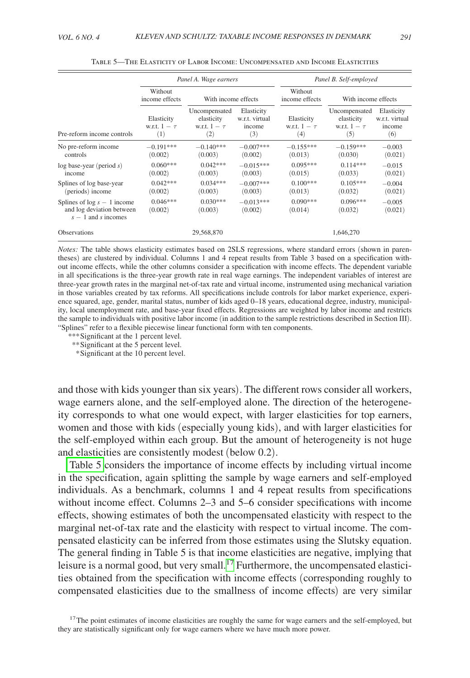|                                                                                     | Panel A. Wage earners                  |                                                         |                                               |                                        | Panel B. Self-employed                                  |                                               |  |  |
|-------------------------------------------------------------------------------------|----------------------------------------|---------------------------------------------------------|-----------------------------------------------|----------------------------------------|---------------------------------------------------------|-----------------------------------------------|--|--|
|                                                                                     | Without<br>income effects              | With income effects                                     |                                               | Without<br>income effects              |                                                         | With income effects                           |  |  |
| Pre-reform income controls                                                          | Elasticity<br>w.r.t. $1 - \tau$<br>(1) | Uncompensated<br>elasticity<br>w.r.t. $1 - \tau$<br>(2) | Elasticity<br>w.r.t. virtual<br>income<br>(3) | Elasticity<br>w.r.t. $1 - \tau$<br>(4) | Uncompensated<br>elasticity<br>w.r.t. $1 - \tau$<br>(5) | Elasticity<br>w.r.t. virtual<br>income<br>(6) |  |  |
| No pre-reform income<br>controls                                                    | $-0.191***$<br>(0.002)                 | $-0.140***$<br>(0.003)                                  | $-0.007***$<br>(0.002)                        | $-0.155***$<br>(0.013)                 | $-0.159***$<br>(0.030)                                  | $-0.003$<br>(0.021)                           |  |  |
| $log base-year (period s)$<br>income                                                | $0.060***$<br>(0.002)                  | $0.042***$<br>(0.003)                                   | $-0.015***$<br>(0.003)                        | $0.095***$<br>(0.015)                  | $0.114***$<br>(0.033)                                   | $-0.015$<br>(0.021)                           |  |  |
| Splines of log base-year<br>(periods) income                                        | $0.042***$<br>(0.002)                  | $0.034***$<br>(0.003)                                   | $-0.007***$<br>(0.003)                        | $0.100***$<br>(0.013)                  | $0.105***$<br>(0.032)                                   | $-0.004$<br>(0.021)                           |  |  |
| Splines of $log s - 1$ income<br>and log deviation between<br>$s - 1$ and s incomes | $0.046***$<br>(0.002)                  | $0.030***$<br>(0.003)                                   | $-0.013***$<br>(0.002)                        | $0.090***$<br>(0.014)                  | $0.096***$<br>(0.032)                                   | $-0.005$<br>(0.021)                           |  |  |
| <b>Observations</b>                                                                 |                                        | 29,568,870                                              |                                               |                                        | 1.646.270                                               |                                               |  |  |

Table 5—The Elasticity of Labor Income: Uncompensated and Income Elasticities

*Notes:* The table shows elasticity estimates based on 2SLS regressions, where standard errors (shown in parentheses) are clustered by individual. Columns 1 and 4 repeat results from Table 3 based on a specification without income effects, while the other columns consider a specification with income effects. The dependent variable in all specifications is the three-year growth rate in real wage earnings. The independent variables of interest are three-year growth rates in the marginal net-of-tax rate and virtual income, instrumented using mechanical variation in those variables created by tax reforms. All specifications include controls for labor market experience, experience squared, age, gender, marital status, number of kids aged 0–18 years, educational degree, industry, municipality, local unemployment rate, and base-year fixed effects. Regressions are weighted by labor income and restricts the sample to individuals with positive labor income (in addition to the sample restrictions described in Section III). "Splines" refer to a flexible piecewise linear functional form with ten components.

*\*\*\**Significant at the 1 percent level.

*\*\**Significant at the 5 percent level.

 *\**Significant at the 10 percent level.

and those with kids younger than six years). The different rows consider all workers, wage earners alone, and the self-employed alone. The direction of the heterogeneity corresponds to what one would expect, with larger elasticities for top earners, women and those with kids (especially young kids), and with larger elasticities for the self-employed within each group. But the amount of heterogeneity is not huge and elasticities are consistently modest (below 0.2).

Table 5 considers the importance of income effects by including virtual income in the specification, again splitting the sample by wage earners and self-employed individuals. As a benchmark, columns 1 and 4 repeat results from specifications without income effect. Columns 2–3 and 5–6 consider specifications with income effects, showing estimates of both the uncompensated elasticity with respect to the marginal net-of-tax rate and the elasticity with respect to virtual income. The compensated elasticity can be inferred from those estimates using the Slutsky equation. The general finding in Table 5 is that income elasticities are negative, implying that leisure is a normal good, but very small.<sup>[17](#page-21-0)</sup> Furthermore, the uncompensated elasticities obtained from the specification with income effects (corresponding roughly to compensated elasticities due to the smallness of income effects) are very similar

<span id="page-21-0"></span> $17$ The point estimates of income elasticities are roughly the same for wage earners and the self-employed, but they are statistically significant only for wage earners where we have much more power.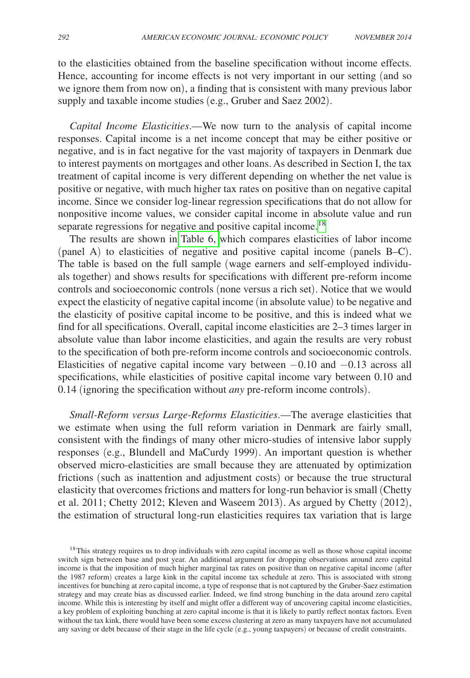to the elasticities obtained from the baseline specification without income effects. Hence, accounting for income effects is not very important in our setting (and so we ignore them from now on), a finding that is consistent with many previous labor supply and taxable income studies (e.g., Gruber and Saez 2002).

*Capital Income Elasticities*.—We now turn to the analysis of capital income responses. Capital income is a net income concept that may be either positive or negative, and is in fact negative for the vast majority of taxpayers in Denmark due to interest payments on mortgages and other loans. As described in Section I, the tax treatment of capital income is very different depending on whether the net value is positive or negative, with much higher tax rates on positive than on negative capital income. Since we consider log-linear regression specifications that do not allow for nonpositive income values, we consider capital income in absolute value and run separate regressions for negative and positive capital income.<sup>[18](#page-22-0)</sup>

The results are shown in [Table 6,](#page-23-0) which compares elasticities of labor income (panel A) to elasticities of negative and positive capital income (panels B–C). The table is based on the full sample (wage earners and self-employed individuals together) and shows results for specifications with different pre-reform income controls and socioeconomic controls (none versus a rich set). Notice that we would expect the elasticity of negative capital income (in absolute value) to be negative and the elasticity of positive capital income to be positive, and this is indeed what we find for all specifications. Overall, capital income elasticities are 2–3 times larger in absolute value than labor income elasticities, and again the results are very robust to the specification of both pre-reform income controls and socioeconomic controls. Elasticities of negative capital income vary between −0.10 and −0.13 across all specifications, while elasticities of positive capital income vary between 0.10 and 0.14 (ignoring the specification without *any* pre-reform income controls).

*Small-Reform versus Large-Reforms Elasticities*.—The average elasticities that we estimate when using the full reform variation in Denmark are fairly small, consistent with the findings of many other micro-studies of intensive labor supply responses (e.g., Blundell and MaCurdy 1999). An important question is whether observed micro-elasticities are small because they are attenuated by optimization frictions (such as inattention and adjustment costs) or because the true structural elasticity that overcomes frictions and matters for long-run behavior is small (Chetty et al. 2011; Chetty 2012; Kleven and Waseem 2013). As argued by Chetty (2012), the estimation of structural long-run elasticities requires tax variation that is large

<span id="page-22-0"></span><sup>&</sup>lt;sup>18</sup>This strategy requires us to drop individuals with zero capital income as well as those whose capital income switch sign between base and post year. An additional argument for dropping observations around zero capital income is that the imposition of much higher marginal tax rates on positive than on negative capital income (after the 1987 reform) creates a large kink in the capital income tax schedule at zero. This is associated with strong incentives for bunching at zero capital income, a type of response that is not captured by the Gruber-Saez estimation strategy and may create bias as discussed earlier. Indeed, we find strong bunching in the data around zero capital income. While this is interesting by itself and might offer a different way of uncovering capital income elasticities, a key problem of exploiting bunching at zero capital income is that it is likely to partly reflect nontax factors. Even without the tax kink, there would have been some excess clustering at zero as many taxpayers have not accumulated any saving or debt because of their stage in the life cycle (e.g., young taxpayers) or because of credit constraints.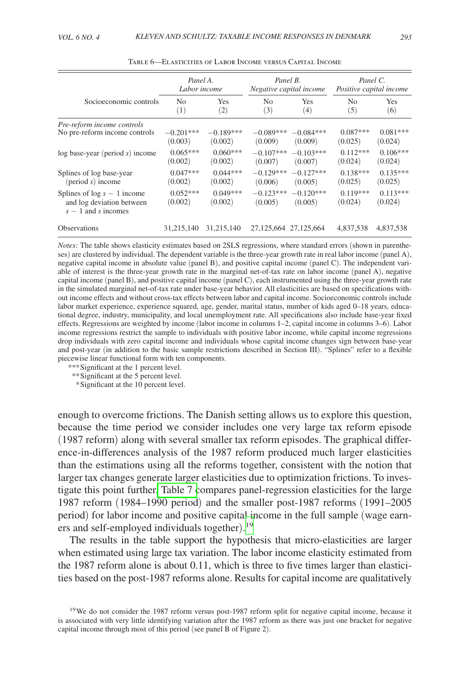<span id="page-23-0"></span>

|                                                                                     | Panel A.<br>Labor income |                       | Panel B.               | Negative capital income   | Panel C.<br>Positive capital income |                       |
|-------------------------------------------------------------------------------------|--------------------------|-----------------------|------------------------|---------------------------|-------------------------------------|-----------------------|
| Socioeconomic controls                                                              | N <sub>0</sub>           | Yes                   | N <sub>0</sub>         | Yes                       | N <sub>0</sub>                      | <b>Yes</b>            |
|                                                                                     | (1)                      | (2)                   | (3)                    | (4)                       | (5)                                 | (6)                   |
| Pre-reform income controls                                                          | $-0.201***$              | $-0.189***$           | $-0.089***$            | $-0.084***$               | $0.087***$                          | $0.081***$            |
| No pre-reform income controls                                                       | (0.003)                  | (0.002)               | (0.009)                | (0.009)                   | (0.025)                             | (0.024)               |
| $log base-year (period s) income$                                                   | $0.065***$               | $0.060***$            | $-0.107***$            | $-0.103***$               | $0.112***$                          | $0.106***$            |
|                                                                                     | (0.002)                  | (0.002)               | (0.007)                | (0.007)                   | (0.024)                             | (0.024)               |
| Splines of log base-year                                                            | $0.047***$               | $0.044***$            | $-0.129***$            | $-0.127***$               | $0.138***$                          | $0.135***$            |
| $(period s)$ income                                                                 | (0.002)                  | (0.002)               | (0.006)                | (0.005)                   | (0.025)                             | (0.025)               |
| Splines of $log s - 1$ income<br>and log deviation between<br>$s - 1$ and s incomes | $0.052***$<br>(0.002)    | $0.049***$<br>(0.002) | $-0.123***$<br>(0.005) | $-0.120***$<br>(0.005)    | $0.119***$<br>(0.024)               | $0.113***$<br>(0.024) |
| <b>Observations</b>                                                                 | 31,215,140               | 31,215,140            |                        | 27, 125, 664 27, 125, 664 | 4,837,538                           | 4,837,538             |

Table 6—Elasticities of Labor Income versus Capital Income

*Notes:* The table shows elasticity estimates based on 2SLS regressions, where standard errors (shown in parentheses) are clustered by individual. The dependent variable is the three-year growth rate in real labor income (panel A), negative capital income in absolute value (panel B), and positive capital income (panel C). The independent variable of interest is the three-year growth rate in the marginal net-of-tax rate on labor income (panel A), negative capital income (panel B), and positive capital income (panel C), each instrumented using the three-year growth rate in the simulated marginal net-of-tax rate under base-year behavior. All elasticities are based on specifications without income effects and without cross-tax effects between labor and capital income. Socioeconomic controls include labor market experience, experience squared, age, gender, marital status, number of kids aged 0–18 years, educational degree, industry, municipality, and local unemployment rate. All specifications also include base-year fixed effects. Regressions are weighted by income (labor income in columns 1–2, capital income in columns 3–6). Labor income regressions restrict the sample to individuals with positive labor income, while capital income regressions drop individuals with zero capital income and individuals whose capital income changes sign between base-year and post-year (in addition to the basic sample restrictions described in Section III). "Splines" refer to a flexible piecewise linear functional form with ten components.

*\*\*\**Significant at the 1 percent level.

*\*\**Significant at the 5 percent level.

 *\**Significant at the 10 percent level.

enough to overcome frictions. The Danish setting allows us to explore this question, because the time period we consider includes one very large tax reform episode (1987 reform) along with several smaller tax reform episodes. The graphical difference-in-differences analysis of the 1987 reform produced much larger elasticities than the estimations using all the reforms together, consistent with the notion that larger tax changes generate larger elasticities due to optimization frictions. To investigate this point further[, Table 7 c](#page-24-0)ompares panel-regression elasticities for the large 1987 reform (1984–1990 period) and the smaller post-1987 reforms (1991–2005 period) for labor income and positive capital income in the full sample (wage earners and self-employed individuals together). [19](#page-23-1)

The results in the table support the hypothesis that micro-elasticities are larger when estimated using large tax variation. The labor income elasticity estimated from the 1987 reform alone is about 0.11, which is three to five times larger than elasticities based on the post-1987 reforms alone. Results for capital income are qualitatively

<span id="page-23-1"></span><sup>19</sup>We do not consider the 1987 reform versus post-1987 reform split for negative capital income, because it is associated with very little identifying variation after the 1987 reform as there was just one bracket for negative capital income through most of this period (see panel B of Figure 2).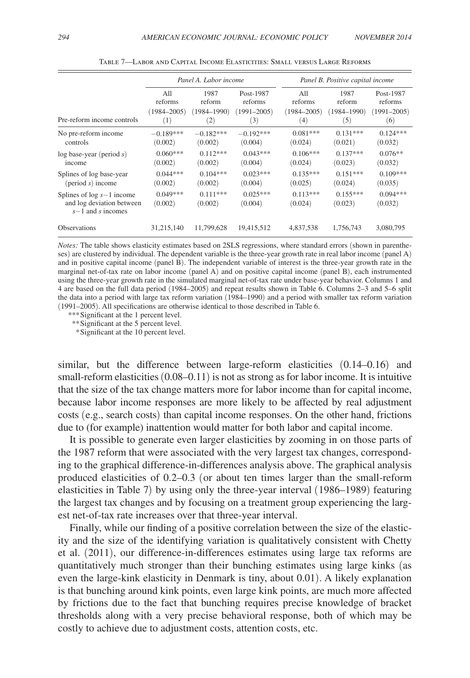<span id="page-24-0"></span>

|                                                                                   |                       | Panel A. Labor income |                       | Panel B. Positive capital income |                       |                       |
|-----------------------------------------------------------------------------------|-----------------------|-----------------------|-----------------------|----------------------------------|-----------------------|-----------------------|
| Pre-reform income controls                                                        | All                   | 1987                  | Post-1987             | All                              | 1987                  | Post-1987             |
|                                                                                   | reforms               | reform                | reforms               | reforms                          | reform                | reforms               |
|                                                                                   | $(1984 - 2005)$       | $(1984 - 1990)$       | $(1991 - 2005)$       | $(1984 - 2005)$                  | (1984–1990)           | $(1991 - 2005)$       |
|                                                                                   | (1)                   | $\left( 2\right)$     | (3)                   | (4)                              | (5)                   | (6)                   |
| No pre-reform income                                                              | $-0.189***$           | $-0.182***$           | $-0.192***$           | $0.081***$                       | $0.131***$            | $0.124***$            |
| controls                                                                          | (0.002)               | (0.002)               | (0.004)               | (0.024)                          | (0.021)               | (0.032)               |
| $log base-year (period s)$                                                        | $0.060***$            | $0.112***$            | $0.043***$            | $0.106***$                       | $0.137***$            | $0.076**$             |
| income                                                                            | (0.002)               | (0.002)               | (0.004)               | (0.024)                          | (0.023)               | (0.032)               |
| Splines of log base-year                                                          | $0.044***$            | $0.104***$            | $0.023***$            | $0.135***$                       | $0.151***$            | $0.109***$            |
| $(period s)$ income                                                               | (0.002)               | (0.002)               | (0.004)               | (0.025)                          | (0.024)               | (0.035)               |
| Splines of $log s - 1$ income<br>and log deviation between<br>$s-1$ and s incomes | $0.049***$<br>(0.002) | $0.111***$<br>(0.002) | $0.025***$<br>(0.004) | $0.113***$<br>(0.024)            | $0.155***$<br>(0.023) | $0.094***$<br>(0.032) |
| <b>Observations</b>                                                               | 31,215,140            | 11.799.628            | 19,415,512            | 4,837,538                        | 1.756.743             | 3,080,795             |

Table 7—Labor and Capital Income Elasticities: Small versus Large Reforms

*Notes:* The table shows elasticity estimates based on 2SLS regressions, where standard errors (shown in parentheses) are clustered by individual. The dependent variable is the three-year growth rate in real labor income (panel A) and in positive capital income (panel B). The independent variable of interest is the three-year growth rate in the marginal net-of-tax rate on labor income (panel A) and on positive capital income (panel B), each instrumented using the three-year growth rate in the simulated marginal net-of-tax rate under base-year behavior. Columns 1 and 4 are based on the full data period (1984–2005) and repeat results shown in Table 6. Columns 2–3 and 5–6 split the data into a period with large tax reform variation (1984–1990) and a period with smaller tax reform variation (1991–2005). All specifications are otherwise identical to those described in Table 6.

*\*\*\**Significant at the 1 percent level.

*\*\**Significant at the 5 percent level.

 *\**Significant at the 10 percent level.

similar, but the difference between large-reform elasticities (0.14–0.16) and small-reform elasticities  $(0.08-0.11)$  is not as strong as for labor income. It is intuitive that the size of the tax change matters more for labor income than for capital income, because labor income responses are more likely to be affected by real adjustment costs (e.g., search costs) than capital income responses. On the other hand, frictions due to (for example) inattention would matter for both labor and capital income.

It is possible to generate even larger elasticities by zooming in on those parts of the 1987 reform that were associated with the very largest tax changes, corresponding to the graphical difference-in-differences analysis above. The graphical analysis produced elasticities of 0.2–0.3 (or about ten times larger than the small-reform elasticities in Table 7) by using only the three-year interval (1986–1989) featuring the largest tax changes and by focusing on a treatment group experiencing the largest net-of-tax rate increases over that three-year interval.

Finally, while our finding of a positive correlation between the size of the elasticity and the size of the identifying variation is qualitatively consistent with Chetty et al. (2011), our difference-in-differences estimates using large tax reforms are quantitatively much stronger than their bunching estimates using large kinks (as even the large-kink elasticity in Denmark is tiny, about 0.01). A likely explanation is that bunching around kink points, even large kink points, are much more affected by frictions due to the fact that bunching requires precise knowledge of bracket thresholds along with a very precise behavioral response, both of which may be costly to achieve due to adjustment costs, attention costs, etc.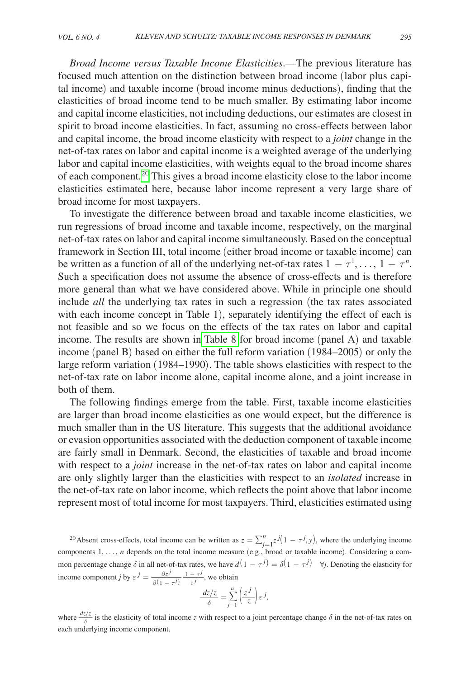*Broad Income versus Taxable Income Elasticities*.—The previous literature has focused much attention on the distinction between broad income (labor plus capital income) and taxable income (broad income minus deductions), finding that the elasticities of broad income tend to be much smaller. By estimating labor income and capital income elasticities, not including deductions, our estimates are closest in spirit to broad income elasticities. In fact, assuming no cross-effects between labor and capital income, the broad income elasticity with respect to a *joint* change in the net-of-tax rates on labor and capital income is a weighted average of the underlying labor and capital income elasticities, with weights equal to the broad income shares of each component.[20](#page-25-0) This gives a broad income elasticity close to the labor income elasticities estimated here, because labor income represent a very large share of broad income for most taxpayers.

To investigate the difference between broad and taxable income elasticities, we run regressions of broad income and taxable income, respectively, on the marginal net-of-tax rates on labor and capital income simultaneously. Based on the conceptual framework in Section III, total income (either broad income or taxable income) can be written as a function of all of the underlying net-of-tax rates  $1 - \tau^1, \ldots, 1 - \tau^n$ . Such a specification does not assume the absence of cross-effects and is therefore more general than what we have considered above. While in principle one should include *all* the underlying tax rates in such a regression (the tax rates associated with each income concept in Table 1), separately identifying the effect of each is not feasible and so we focus on the effects of the tax rates on labor and capital income. The results are shown in [Table 8](#page-26-0) for broad income (panel A) and taxable income (panel B) based on either the full reform variation (1984–2005) or only the large reform variation (1984–1990). The table shows elasticities with respect to the net-of-tax rate on labor income alone, capital income alone, and a joint increase in both of them.

The following findings emerge from the table. First, taxable income elasticities are larger than broad income elasticities as one would expect, but the difference is much smaller than in the US literature. This suggests that the additional avoidance or evasion opportunities associated with the deduction component of taxable income are fairly small in Denmark. Second, the elasticities of taxable and broad income with respect to a *joint* increase in the net-of-tax rates on labor and capital income are only slightly larger than the elasticities with respect to an *isolated* increase in the net-of-tax rate on labor income, which reflects the point above that labor income represent most of total income for most taxpayers. Third, elasticities estimated using

<span id="page-25-0"></span><sup>20</sup> Absent cross-effects, total income can be written as  $z = \sum_{j=1}^{n} z^{j} (1 - \tau^{j}, y)$ , where the underlying income components 1,…, *n* depends on the total income measure (e.g., broad or taxable income). Considering a common percentage change  $\delta$  in all net-of-tax rates, we have  $d(1 - \tau^j) = \delta(1 - \tau^j)$   $\forall j$ . Denoting the elasticity for components 1, ..., *n* depends on the tc<br>mon percentage change  $\delta$  in all net-of-ta<br>income component *j* by  $\varepsilon$ <sup>*j*</sup> =  $\frac{\partial z^j}{\partial(1 - \tau^j)}$ *j l* net-of-tax rates, we have *d*(1 −  $\frac{\partial z^j}{\partial (1 - \tau^j)} \cdot \frac{1 - \tau^j}{z^j}$ , we obtain<br>  $\frac{dz/z}{\delta} = \sum_{j=1}^n \left(\frac{z^j}{z}\right)^j$ 

$$
\frac{dz/z}{\delta} = \sum_{j=1}^{n} \left(\frac{z^{j}}{z}\right) \varepsilon^{j},
$$

where  $\frac{dz/z}{\delta}$  is the elasticity of total income *z* with respect to a joint percentage change  $\delta$  in the net-of-tax rates on each underlying income component.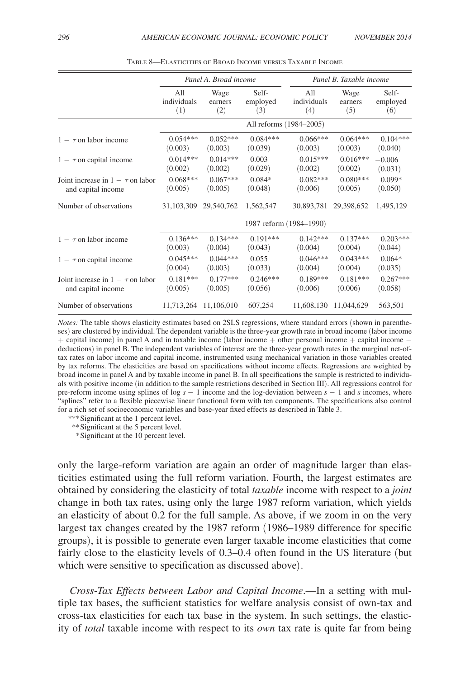<span id="page-26-0"></span>

|                                       |                         | Panel A. Broad income |            | Panel B. Taxable income |                       |            |  |
|---------------------------------------|-------------------------|-----------------------|------------|-------------------------|-----------------------|------------|--|
|                                       | All                     | Wage                  | Self-      | All                     | Wage                  | Self-      |  |
|                                       | individuals             | earners               | employed   | individuals             | earners               | employed   |  |
|                                       | (1)                     | (2)                   | (3)        | (4)                     | (5)                   | (6)        |  |
|                                       |                         |                       |            | All reforms (1984–2005) |                       |            |  |
| $1 - \tau$ on labor income            | $0.054***$              | $0.052***$            | $0.084***$ | $0.066***$              | $0.064***$            | $0.104***$ |  |
|                                       | (0.003)                 | (0.003)               | (0.039)    | (0.003)                 | (0.003)               | (0.040)    |  |
| $1 - \tau$ on capital income          | $0.014***$              | $0.014***$            | 0.003      | $0.015***$              | $0.016***$            | $-0.006$   |  |
|                                       | (0.002)                 | (0.002)               | (0.029)    | (0.002)                 | (0.002)               | (0.031)    |  |
| Joint increase in $1 - \tau$ on labor | $0.068***$              | $0.067***$            | $0.084*$   | $0.082***$              | $0.080***$            | $0.099*$   |  |
| and capital income                    | (0.005)                 | (0.005)               | (0.048)    | (0.006)                 | (0.005)               | (0.050)    |  |
| Number of observations                | 31,103,309              | 29,540,762            | 1,562,547  | 30,893,781              | 29,398,652            | 1,495,129  |  |
|                                       | 1987 reform (1984-1990) |                       |            |                         |                       |            |  |
| $1 - \tau$ on labor income            | $0.136***$              | $0.134***$            | $0.191***$ | $0.142***$              | $0.137***$            | $0.203***$ |  |
|                                       | (0.003)                 | (0.004)               | (0.043)    | (0.004)                 | (0.004)               | (0.044)    |  |
| $1 - \tau$ on capital income          | $0.045***$              | $0.044***$            | 0.055      | $0.046***$              | $0.043***$            | $0.064*$   |  |
|                                       | (0.004)                 | (0.003)               | (0.033)    | (0.004)                 | (0.004)               | (0.035)    |  |
| Joint increase in $1 - \tau$ on labor | $0.181***$              | $0.177***$            | $0.246***$ | $0.189***$              | $0.181***$            | $0.267***$ |  |
| and capital income                    | (0.005)                 | (0.005)               | (0.056)    | (0.006)                 | (0.006)               | (0.058)    |  |
| Number of observations                |                         | 11,713,264 11,106,010 | 607,254    |                         | 11,608,130 11,044,629 | 563,501    |  |

Table 8—Elasticities of Broad Income versus Taxable Income

*Notes:* The table shows elasticity estimates based on 2SLS regressions, where standard errors (shown in parentheses) are clustered by individual. The dependent variable is the three-year growth rate in broad income (labor income + capital income) in panel A and in taxable income (labor income + other personal income + capital income − deductions) in panel B. The independent variables of interest are the three-year growth rates in the marginal net-oftax rates on labor income and capital income, instrumented using mechanical variation in those variables created by tax reforms. The elasticities are based on specifications without income effects. Regressions are weighted by broad income in panel A and by taxable income in panel B. In all specifications the sample is restricted to individuals with positive income (in addition to the sample restrictions described in Section III). All regressions control for pre-reform income using splines of log *s* − 1 income and the log-deviation between *s* − 1 and *s* incomes, where "splines" refer to a flexible piecewise linear functional form with ten components. The specifications also control for a rich set of socioeconomic variables and base-year fixed effects as described in Table 3.

*\*\*\**Significant at the 1 percent level.

*\*\**Significant at the 5 percent level.

 *\**Significant at the 10 percent level.

only the large-reform variation are again an order of magnitude larger than elasticities estimated using the full reform variation. Fourth, the largest estimates are obtained by considering the elasticity of total *taxable* income with respect to a *joint* change in both tax rates, using only the large 1987 reform variation, which yields an elasticity of about 0.2 for the full sample. As above, if we zoom in on the very largest tax changes created by the 1987 reform (1986–1989 difference for specific groups), it is possible to generate even larger taxable income elasticities that come fairly close to the elasticity levels of 0.3–0.4 often found in the US literature (but which were sensitive to specification as discussed above).

*Cross-Tax Effects between Labor and Capital Income*.—In a setting with multiple tax bases, the sufficient statistics for welfare analysis consist of own-tax and cross-tax elasticities for each tax base in the system. In such settings, the elasticity of *total* taxable income with respect to its *own* tax rate is quite far from being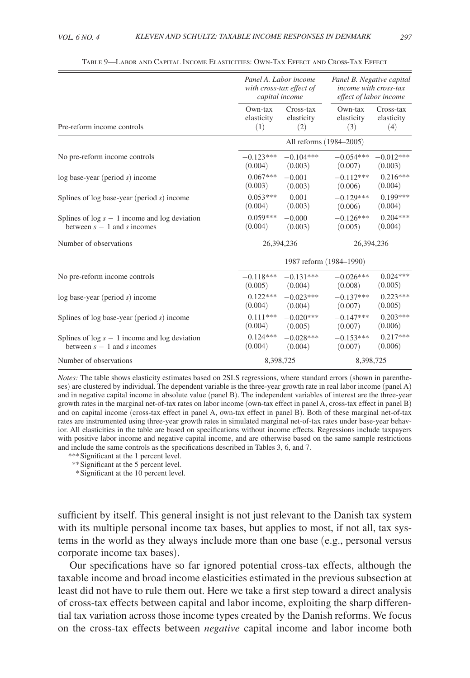<span id="page-27-0"></span>

|                                                   |             | Panel A. Labor income<br>with cross-tax effect of<br>capital income | Panel B. Negative capital<br>income with cross-tax<br>effect of labor income |             |  |
|---------------------------------------------------|-------------|---------------------------------------------------------------------|------------------------------------------------------------------------------|-------------|--|
| Pre-reform income controls                        | $Own$ -tax  | Cross-tax                                                           | $Own$ -tax                                                                   | Cross-tax   |  |
|                                                   | elasticity  | elasticity                                                          | elasticity                                                                   | elasticity  |  |
|                                                   | (1)         | (2)                                                                 | (3)                                                                          | (4)         |  |
|                                                   |             |                                                                     | All reforms (1984-2005)                                                      |             |  |
| No pre-reform income controls                     | $-0.123***$ | $-0.104***$                                                         | $-0.054***$                                                                  | $-0.012***$ |  |
|                                                   | (0.004)     | (0.003)                                                             | (0.007)                                                                      | (0.003)     |  |
| $log base-year (period s) income$                 | $0.067***$  | $-0.001$                                                            | $-0.112***$                                                                  | $0.216***$  |  |
|                                                   | (0.003)     | (0.003)                                                             | (0.006)                                                                      | (0.004)     |  |
| Splines of log base-year (period $s$ ) income     | $0.053***$  | 0.001                                                               | $-0.129***$                                                                  | $0.199***$  |  |
|                                                   | (0.004)     | (0.003)                                                             | (0.006)                                                                      | (0.004)     |  |
| Splines of $log s - 1$ income and $log deviation$ | $0.059***$  | $-0.000$                                                            | $-0.126***$                                                                  | $0.204***$  |  |
| between $s - 1$ and s incomes                     | (0.004)     | (0.003)                                                             | (0.005)                                                                      | (0.004)     |  |
| Number of observations                            |             | 26.394.236                                                          |                                                                              | 26,394,236  |  |
|                                                   |             | 1987 reform (1984-1990)                                             |                                                                              |             |  |
| No pre-reform income controls                     | $-0.118***$ | $-0.131***$                                                         | $-0.026***$                                                                  | $0.024***$  |  |
|                                                   | (0.005)     | (0.004)                                                             | (0.008)                                                                      | (0.005)     |  |
| $log base-year (period s) income$                 | $0.122***$  | $-0.023***$                                                         | $-0.137***$                                                                  | $0.223***$  |  |
|                                                   | (0.004)     | (0.004)                                                             | (0.007)                                                                      | (0.005)     |  |
| Splines of log base-year (period $s$ ) income     | $0.111***$  | $-0.020***$                                                         | $-0.147***$                                                                  | $0.203***$  |  |
|                                                   | (0.004)     | (0.005)                                                             | (0.007)                                                                      | (0.006)     |  |
| Splines of $log s - 1$ income and $log deviation$ | $0.124***$  | $-0.028***$                                                         | $-0.153***$                                                                  | $0.217***$  |  |
| between $s - 1$ and s incomes                     | (0.004)     | (0.004)                                                             | (0.007)                                                                      | (0.006)     |  |
| Number of observations                            |             | 8,398,725                                                           | 8,398,725                                                                    |             |  |

Table 9—Labor and Capital Income Elasticities: Own-Tax Effect and Cross-Tax Effect

*Notes:* The table shows elasticity estimates based on 2SLS regressions, where standard errors (shown in parentheses) are clustered by individual. The dependent variable is the three-year growth rate in real labor income (panel A) and in negative capital income in absolute value (panel B). The independent variables of interest are the three-year growth rates in the marginal net-of-tax rates on labor income (own-tax effect in panel A, cross-tax effect in panel B) and on capital income (cross-tax effect in panel A, own-tax effect in panel B). Both of these marginal net-of-tax rates are instrumented using three-year growth rates in simulated marginal net-of-tax rates under base-year behavior. All elasticities in the table are based on specifications without income effects. Regressions include taxpayers with positive labor income and negative capital income, and are otherwise based on the same sample restrictions and include the same controls as the specifications described in Tables 3, 6, and 7.

*\*\*\**Significant at the 1 percent level.

*\*\**Significant at the 5 percent level.

 *\**Significant at the 10 percent level.

sufficient by itself. This general insight is not just relevant to the Danish tax system with its multiple personal income tax bases, but applies to most, if not all, tax systems in the world as they always include more than one base (e.g., personal versus corporate income tax bases).

Our specifications have so far ignored potential cross-tax effects, although the taxable income and broad income elasticities estimated in the previous subsection at least did not have to rule them out. Here we take a first step toward a direct analysis of cross-tax effects between capital and labor income, exploiting the sharp differential tax variation across those income types created by the Danish reforms. We focus on the cross-tax effects between *negative* capital income and labor income both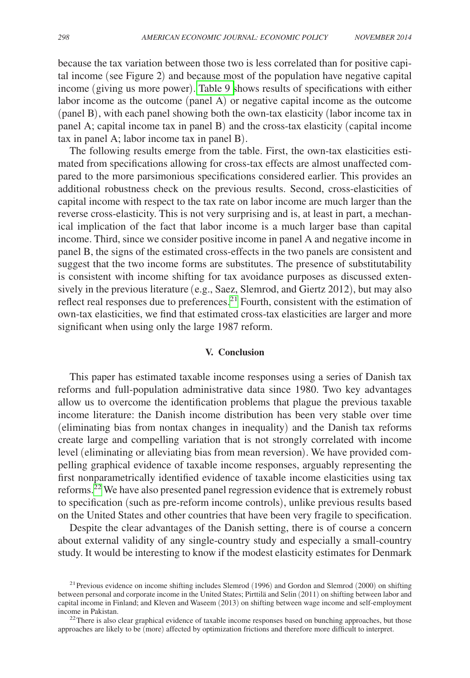because the tax variation between those two is less correlated than for positive capital income (see Figure 2) and because most of the population have negative capital income (giving us more power). [Table 9 s](#page-27-0)hows results of specifications with either labor income as the outcome (panel A) or negative capital income as the outcome (panel B), with each panel showing both the own-tax elasticity (labor income tax in panel A; capital income tax in panel B) and the cross-tax elasticity (capital income tax in panel A; labor income tax in panel B).

The following results emerge from the table. First, the own-tax elasticities estimated from specifications allowing for cross-tax effects are almost unaffected compared to the more parsimonious specifications considered earlier. This provides an additional robustness check on the previous results. Second, cross-elasticities of capital income with respect to the tax rate on labor income are much larger than the reverse cross-elasticity. This is not very surprising and is, at least in part, a mechanical implication of the fact that labor income is a much larger base than capital income. Third, since we consider positive income in panel A and negative income in panel B, the signs of the estimated cross-effects in the two panels are consistent and suggest that the two income forms are substitutes. The presence of substitutability is consistent with income shifting for tax avoidance purposes as discussed extensively in the previous literature (e.g., Saez, Slemrod, and Giertz 2012), but may also reflect real responses due to preferences.<sup>[21](#page-28-0)</sup> Fourth, consistent with the estimation of own-tax elasticities, we find that estimated cross-tax elasticities are larger and more significant when using only the large 1987 reform.

#### **V. Conclusion**

This paper has estimated taxable income responses using a series of Danish tax reforms and full-population administrative data since 1980. Two key advantages allow us to overcome the identification problems that plague the previous taxable income literature: the Danish income distribution has been very stable over time (eliminating bias from nontax changes in inequality) and the Danish tax reforms create large and compelling variation that is not strongly correlated with income level (eliminating or alleviating bias from mean reversion). We have provided compelling graphical evidence of taxable income responses, arguably representing the first nonparametrically identified evidence of taxable income elasticities using tax reforms. $22$  We have also presented panel regression evidence that is extremely robust to specification (such as pre-reform income controls), unlike previous results based on the United States and other countries that have been very fragile to specification.

Despite the clear advantages of the Danish setting, there is of course a concern about external validity of any single-country study and especially a small-country study. It would be interesting to know if the modest elasticity estimates for Denmark

<span id="page-28-0"></span> $^{21}$  Previous evidence on income shifting includes Slemrod (1996) and Gordon and Slemrod (2000) on shifting between personal and corporate income in the United States; Pirttilä and Selin (2011) on shifting between labor and capital income in Finland; and Kleven and Waseem (2013) on shifting between wage income and self-employment

<span id="page-28-1"></span> $22$ There is also clear graphical evidence of taxable income responses based on bunching approaches, but those approaches are likely to be (more) affected by optimization frictions and therefore more difficult to interpret.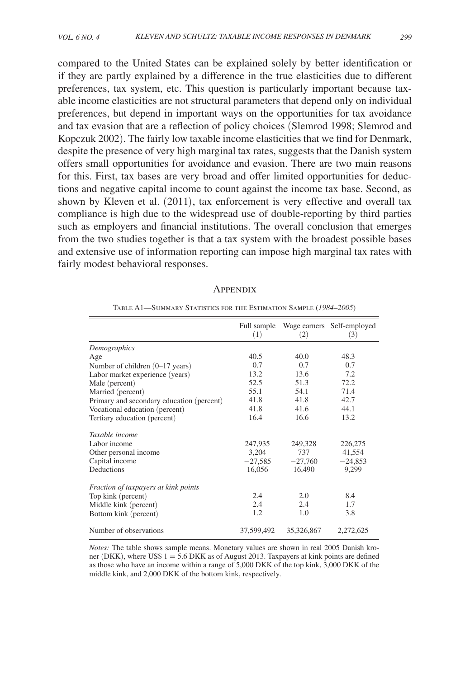<span id="page-29-0"></span>compared to the United States can be explained solely by better identification or if they are partly explained by a difference in the true elasticities due to different preferences, tax system, etc. This question is particularly important because taxable income elasticities are not structural parameters that depend only on individual preferences, but depend in important ways on the opportunities for tax avoidance and tax evasion that are a reflection of policy choices (Slemrod 1998; Slemrod and Kopczuk 2002). The fairly low taxable income elasticities that we find for Denmark, despite the presence of very high marginal tax rates, suggests that the Danish system offers small opportunities for avoidance and evasion. There are two main reasons for this. First, tax bases are very broad and offer limited opportunities for deductions and negative capital income to count against the income tax base. Second, as shown by Kleven et al. (2011), tax enforcement is very effective and overall tax compliance is high due to the widespread use of double-reporting by third parties such as employers and financial institutions. The overall conclusion that emerges from the two studies together is that a tax system with the broadest possible bases and extensive use of information reporting can impose high marginal tax rates with fairly modest behavioral responses.

| <b>APPENDIX</b> |  |
|-----------------|--|
|                 |  |

|                                           | Full sample<br>(1) | Wage earners<br>(2) | Self-employed<br>(3) |
|-------------------------------------------|--------------------|---------------------|----------------------|
| Demographics                              |                    |                     |                      |
| Age                                       | 40.5               | 40.0                | 48.3                 |
| Number of children $(0-17 \text{ years})$ | 0.7                | 0.7                 | 0.7                  |
| Labor market experience (years)           | 13.2               | 13.6                | 7.2                  |
| Male (percent)                            | 52.5               | 51.3                | 72.2                 |
| Married (percent)                         | 55.1               | 54.1                | 71.4                 |
| Primary and secondary education (percent) | 41.8               | 41.8                | 42.7                 |
| Vocational education (percent)            | 41.8               | 41.6                | 44.1                 |
| Tertiary education (percent)              | 16.4               | 16.6                | 13.2                 |
| Taxable income                            |                    |                     |                      |
| Labor income                              | 247,935            | 249,328             | 226,275              |
| Other personal income                     | 3,204              | 737                 | 41,554               |
| Capital income                            | $-27,585$          | $-27,760$           | $-24,853$            |
| Deductions                                | 16,056             | 16,490              | 9,299                |
| Fraction of taxpayers at kink points      |                    |                     |                      |
| Top kink (percent)                        | 2.4                | 2.0                 | 8.4                  |
| Middle kink (percent)                     | 2.4                | 2.4                 | 1.7                  |
| Bottom kink (percent)                     | 1.2                | 1.0                 | 3.8                  |
| Number of observations                    | 37,599,492         | 35,326,867          | 2,272,625            |

Table A1—Summary Statistics for the Estimation Sample (*1984–2005*)

*Notes:* The table shows sample means. Monetary values are shown in real 2005 Danish kroner (DKK), where US\$ 1 = 5.6 DKK as of August 2013. Taxpayers at kink points are defined as those who have an income within a range of 5,000 DKK of the top kink, 3,000 DKK of the middle kink, and 2,000 DKK of the bottom kink, respectively.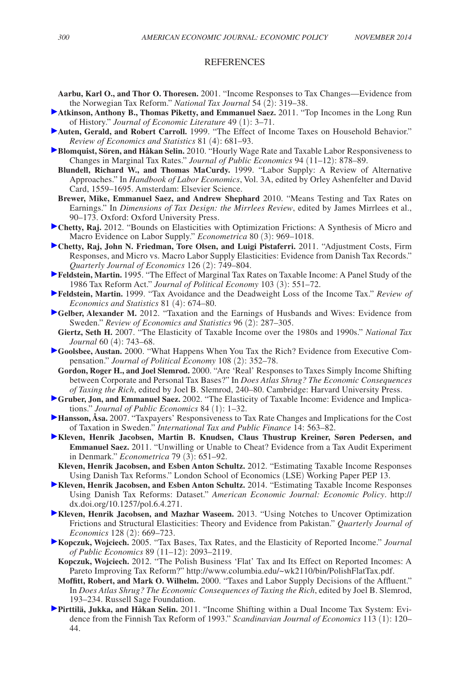#### **REFERENCES**

- **Aarbu, Karl O., and Thor O. Thoresen.** 2001. "Income Responses to Tax Changes—Evidence from the Norwegian Tax Reform." *National Tax Journal* 54 (2): 319–38.
- **Atkinson, Anthony B., Thomas Piketty, and Emmanuel Saez.** 2011. "Top Incomes in the Long Run of History." *Journal of Economic Literature* 49 (1): 3–71.
- **Auten, Gerald, and Robert Carroll.** 1999. "The Effect of Income Taxes on Household Behavior." *Review of Economics and Statistics* 81 (4): 681–93.
- **Blomquist, Sören, and Håkan Selin.** 2010. "Hourly Wage Rate and Taxable Labor Responsiveness to Changes in Marginal Tax Rates." *Journal of Public Economics* 94 (11–12): 878–89.
	- **Blundell, Richard W., and Thomas MaCurdy.** 1999. "Labor Supply: A Review of Alternative Approaches." In *Handbook of Labor Economics*, Vol. 3A, edited by Orley Ashenfelter and David Card, 1559–1695. Amsterdam: Elsevier Science.
	- **Brewer, Mike, Emmanuel Saez, and Andrew Shephard** 2010. "Means Testing and Tax Rates on Earnings." In *Dimensions of Tax Design: the Mirrlees Review*, edited by James Mirrlees et al., 90–173. Oxford: Oxford University Press.
- **Chetty, Raj.** 2012. "Bounds on Elasticities with Optimization Frictions: A Synthesis of Micro and Macro Evidence on Labor Supply." *Econometrica* 80 (3): 969–1018.
- **Chetty, Raj, John N. Friedman, Tore Olsen, and Luigi Pistaferri.** 2011. "Adjustment Costs, Firm Responses, and Micro vs. Macro Labor Supply Elasticities: Evidence from Danish Tax Records." *Quarterly Journal of Economics* 126 (2): 749–804.
- **Feldstein, Martin.** 1995. "The Effect of Marginal Tax Rates on Taxable Income: A Panel Study of the 1986 Tax Reform Act." *Journal of Political Economy* 103 (3): 551–72.
- **Feldstein, Martin.** 1999. "Tax Avoidance and the Deadweight Loss of the Income Tax." *Review of Economics and Statistics* 81 (4): 674–80.
- **Gelber, Alexander M.** 2012. "Taxation and the Earnings of Husbands and Wives: Evidence from Sweden." *Review of Economics and Statistics* 96 (2): 287–305.
- **Giertz, Seth H.** 2007. "The Elasticity of Taxable Income over the 1980s and 1990s." *National Tax Journal* 60 (4): 743–68.
- **Goolsbee, Austan.** 2000. "What Happens When You Tax the Rich? Evidence from Executive Compensation." *Journal of Political Economy* 108 (2): 352–78.
	- **Gordon, Roger H., and Joel Slemrod.** 2000. "Are 'Real' Responses to Taxes Simply Income Shifting between Corporate and Personal Tax Bases?" In *Does Atlas Shrug? The Economic Consequences of Taxing the Rich*, edited by Joel B. Slemrod, 240–80. Cambridge: Harvard University Press.
- **Gruber, Jon, and Emmanuel Saez.** 2002. "The Elasticity of Taxable Income: Evidence and Implications." *Journal of Public Economics* 84 (1): 1–32.
- **Hansson, Åsa.** 2007. "Taxpayers' Responsiveness to Tax Rate Changes and Implications for the Cost of Taxation in Sweden." *International Tax and Public Finance* 14: 563–82.
- **Kleven, Henrik Jacobsen, Martin B. Knudsen, Claus Thustrup Kreiner, Søren Pedersen, and Emmanuel Saez.** 2011. "Unwilling or Unable to Cheat? Evidence from a Tax Audit Experiment in Denmark." *Econometrica* 79 (3): 651–92.
- **Kleven, Henrik Jacobsen, and Esben Anton Schultz.** 2012. "Estimating Taxable Income Responses Using Danish Tax Reforms." London School of Economics (LSE) Working Paper PEP 13.
- **Kleven, Henrik Jacobsen, and Esben Anton Schultz.** 2014. "Estimating Taxable Income Responses Using Danish Tax Reforms: Dataset." *American Economic Journal: Economic Policy*. [http://](http://dx.doi.org/10.1257/pol.6.4.271) [dx.doi.org/10.1257/pol.6.4.271.](http://dx.doi.org/10.1257/pol.6.4.271)
- **Kleven, Henrik Jacobsen, and Mazhar Waseem.** 2013. "Using Notches to Uncover Optimization Frictions and Structural Elasticities: Theory and Evidence from Pakistan." *Quarterly Journal of Economics* 128 (2): 669–723.
- **Kopczuk, Wojciech.** 2005. "Tax Bases, Tax Rates, and the Elasticity of Reported Income." *Journal of Public Economics* 89 (11–12): 2093–2119.
- **Kopczuk, Wojciech.** 2012. "The Polish Business 'Flat' Tax and Its Effect on Reported Incomes: A Pareto Improving Tax Reform?" <http://www.columbia.edu/~wk2110/bin/PolishFlatTax.pdf>.
- **Moffitt, Robert, and Mark O. Wilhelm.** 2000. "Taxes and Labor Supply Decisions of the Affluent." In *Does Atlas Shrug? The Economic Consequences of Taxing the Rich*, edited by Joel B. Slemrod, 193–234. Russell Sage Foundation.
- **Pirttilä, Jukka, and Håkan Selin.** 2011. "Income Shifting within a Dual Income Tax System: Evidence from the Finnish Tax Reform of 1993." *Scandinavian Journal of Economics* 113 (1): 120– 44.